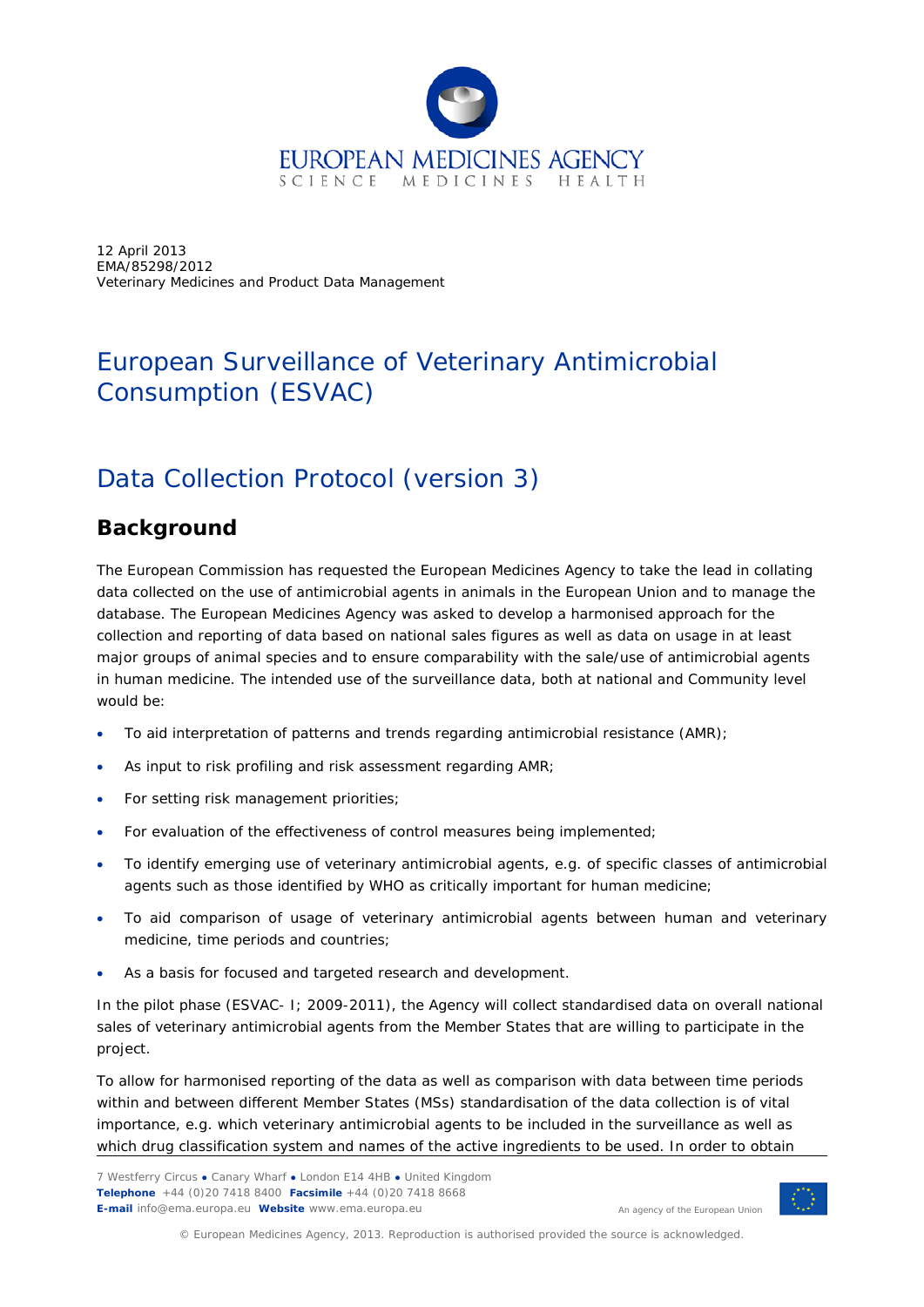

12 April 2013 EMA/85298/2012 Veterinary Medicines and Product Data Management

# European Surveillance of Veterinary Antimicrobial Consumption (ESVAC)

# Data Collection Protocol (version 3)

## **Background**

The European Commission has requested the European Medicines Agency to take the lead in collating data collected on the use of antimicrobial agents in animals in the European Union and to manage the database. The European Medicines Agency was asked to develop a harmonised approach for the collection and reporting of data based on national sales figures as well as data on usage in at least major groups of animal species and to ensure comparability with the sale/use of antimicrobial agents in human medicine. The intended use of the surveillance data, both at national and Community level would be:

- To aid interpretation of patterns and trends regarding antimicrobial resistance (AMR);
- As input to risk profiling and risk assessment regarding AMR;
- For setting risk management priorities;
- For evaluation of the effectiveness of control measures being implemented;
- To identify emerging use of veterinary antimicrobial agents, e.g. of specific classes of antimicrobial agents such as those identified by WHO as critically important for human medicine;
- To aid comparison of usage of veterinary antimicrobial agents between human and veterinary medicine, time periods and countries;
- As a basis for focused and targeted research and development.

In the pilot phase (ESVAC- I; 2009-2011), the Agency will collect standardised data on overall national sales of veterinary antimicrobial agents from the Member States that are willing to participate in the project.

To allow for harmonised reporting of the data as well as comparison with data between time periods within and between different Member States (MSs) standardisation of the data collection is of vital importance, e.g. which veterinary antimicrobial agents to be included in the surveillance as well as which drug classification system and names of the active ingredients to be used. In order to obtain



© European Medicines Agency, 2013. Reproduction is authorised provided the source is acknowledged.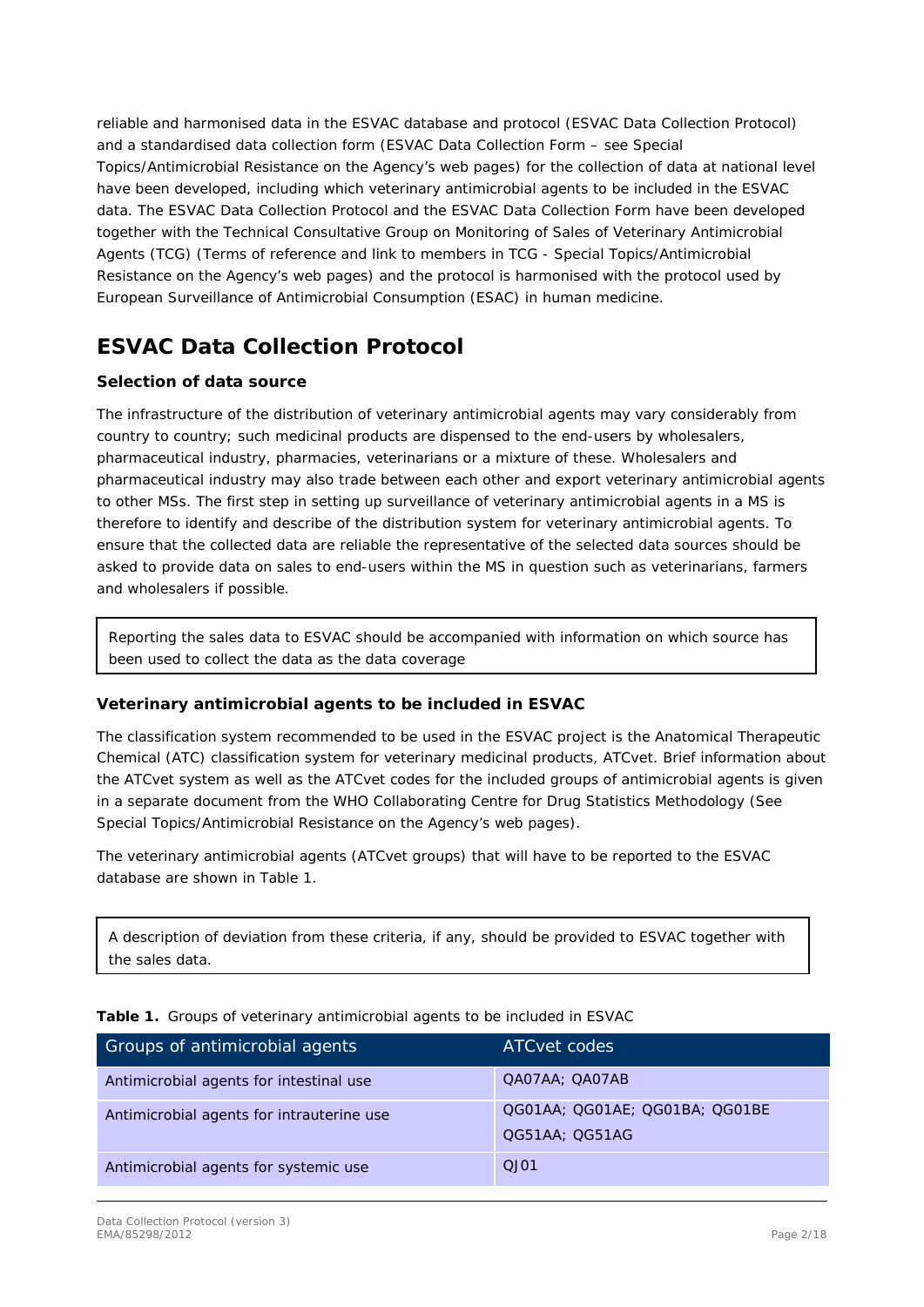reliable and harmonised data in the ESVAC database and protocol (ESVAC Data Collection Protocol) and a standardised data collection form (ESVAC Data Collection Form – see Special Topics/Antimicrobial Resistance on the Agency's web pages) for the collection of data at national level have been developed, including which veterinary antimicrobial agents to be included in the ESVAC data. The ESVAC Data Collection Protocol and the ESVAC Data Collection Form have been developed together with the Technical Consultative Group on Monitoring of Sales of Veterinary Antimicrobial Agents (TCG) (Terms of reference and link to members in TCG - Special Topics/Antimicrobial Resistance on the Agency's web pages) and the protocol is harmonised with the protocol used by European Surveillance of Antimicrobial Consumption (ESAC) in human medicine.

## **ESVAC Data Collection Protocol**

### **Selection of data source**

The infrastructure of the distribution of veterinary antimicrobial agents may vary considerably from country to country; such medicinal products are dispensed to the end-users by wholesalers, pharmaceutical industry, pharmacies, veterinarians or a mixture of these. Wholesalers and pharmaceutical industry may also trade between each other and export veterinary antimicrobial agents to other MSs. The first step in setting up surveillance of veterinary antimicrobial agents in a MS is therefore to identify and describe of the distribution system for veterinary antimicrobial agents. To ensure that the collected data are reliable the representative of the selected data sources should be asked to provide data on sales to end-users within the MS in question such as veterinarians, farmers and wholesalers if possible.

Reporting the sales data to ESVAC should be accompanied with information on which source has been used to collect the data as the data coverage

### **Veterinary antimicrobial agents to be included in ESVAC**

The classification system recommended to be used in the ESVAC project is the Anatomical Therapeutic Chemical (ATC) classification system for veterinary medicinal products, ATCvet. Brief information about the ATCvet system as well as the ATCvet codes for the included groups of antimicrobial agents is given in a separate document from the WHO Collaborating Centre for Drug Statistics Methodology (See Special Topics/Antimicrobial Resistance on the Agency's web pages).

The veterinary antimicrobial agents (ATCvet groups) that will have to be reported to the ESVAC database are shown in Table 1.

A description of deviation from these criteria, if any, should be provided to ESVAC together with the sales data.

| Groups of antimicrobial agents            | ATC vet codes                                    |
|-------------------------------------------|--------------------------------------------------|
| Antimicrobial agents for intestinal use   | QA07AA; QA07AB                                   |
| Antimicrobial agents for intrauterine use | QG01AA; QG01AE; QG01BA; QG01BE<br>QG51AA; QG51AG |
| Antimicrobial agents for systemic use     | OJO1                                             |

**Table 1.** Groups of veterinary antimicrobial agents to be included in ESVAC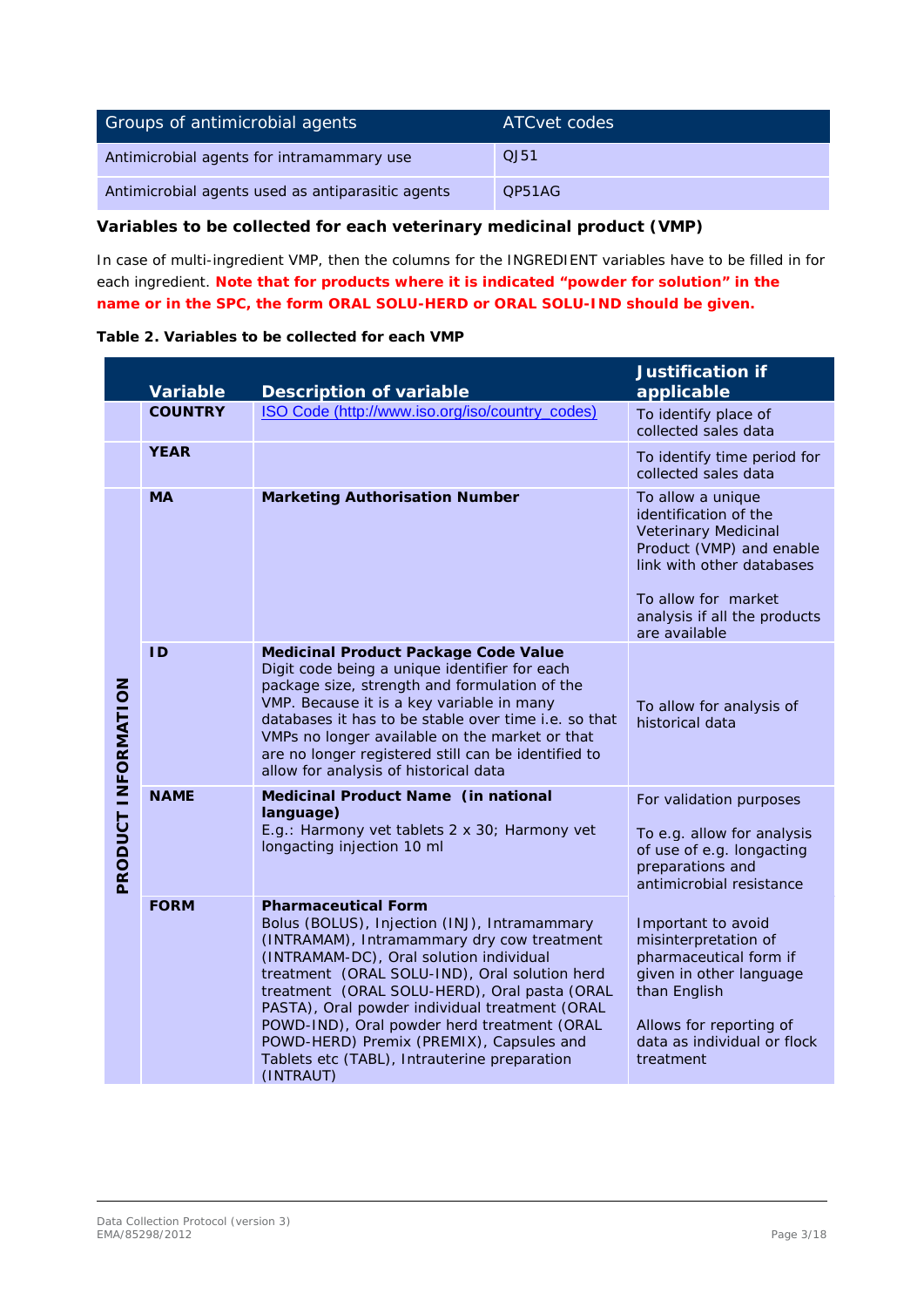| Groups of antimicrobial agents                    | ATC vet codes |
|---------------------------------------------------|---------------|
| Antimicrobial agents for intramammary use         | QJ51          |
| Antimicrobial agents used as antiparasitic agents | OP51AG        |

### **Variables to be collected for each veterinary medicinal product (VMP)**

In case of multi-ingredient VMP, then the columns for the INGREDIENT variables have to be filled in for each ingredient. **Note that for products where it is indicated "powder for solution" in the name or in the SPC, the form ORAL SOLU-HERD or ORAL SOLU-IND should be given.**

| Table 2. Variables to be collected for each VMP |  |  |  |  |  |  |  |
|-------------------------------------------------|--|--|--|--|--|--|--|
|-------------------------------------------------|--|--|--|--|--|--|--|

|                     | Variable       | <b>Description of variable</b>                                                                                                                                                                                                                                                                                                                                                                                                                                                 | <b>Justification if</b><br>applicable                                                                                                                                                                      |
|---------------------|----------------|--------------------------------------------------------------------------------------------------------------------------------------------------------------------------------------------------------------------------------------------------------------------------------------------------------------------------------------------------------------------------------------------------------------------------------------------------------------------------------|------------------------------------------------------------------------------------------------------------------------------------------------------------------------------------------------------------|
|                     | <b>COUNTRY</b> | ISO Code (http://www.iso.org/iso/country_codes)                                                                                                                                                                                                                                                                                                                                                                                                                                | To identify place of<br>collected sales data                                                                                                                                                               |
|                     | <b>YEAR</b>    |                                                                                                                                                                                                                                                                                                                                                                                                                                                                                | To identify time period for<br>collected sales data                                                                                                                                                        |
|                     | <b>MA</b>      | <b>Marketing Authorisation Number</b>                                                                                                                                                                                                                                                                                                                                                                                                                                          | To allow a unique<br>identification of the<br><b>Veterinary Medicinal</b><br>Product (VMP) and enable<br>link with other databases<br>To allow for market<br>analysis if all the products<br>are available |
|                     | <b>ID</b>      | <b>Medicinal Product Package Code Value</b><br>Digit code being a unique identifier for each<br>package size, strength and formulation of the<br>VMP. Because it is a key variable in many<br>databases it has to be stable over time i.e. so that<br>VMPs no longer available on the market or that<br>are no longer registered still can be identified to<br>allow for analysis of historical data                                                                           | To allow for analysis of<br>historical data                                                                                                                                                                |
| PRODUCT INFORMATION | <b>NAME</b>    | Medicinal Product Name (in national<br>language)<br>E.g.: Harmony vet tablets 2 x 30; Harmony vet<br>longacting injection 10 ml                                                                                                                                                                                                                                                                                                                                                | For validation purposes<br>To e.g. allow for analysis<br>of use of e.g. longacting<br>preparations and<br>antimicrobial resistance                                                                         |
|                     | <b>FORM</b>    | <b>Pharmaceutical Form</b><br>Bolus (BOLUS), Injection (INJ), Intramammary<br>(INTRAMAM), Intramammary dry cow treatment<br>(INTRAMAM-DC), Oral solution individual<br>treatment (ORAL SOLU-IND), Oral solution herd<br>treatment (ORAL SOLU-HERD), Oral pasta (ORAL<br>PASTA), Oral powder individual treatment (ORAL<br>POWD-IND), Oral powder herd treatment (ORAL<br>POWD-HERD) Premix (PREMIX), Capsules and<br>Tablets etc (TABL), Intrauterine preparation<br>(INTRAUT) | Important to avoid<br>misinterpretation of<br>pharmaceutical form if<br>given in other language<br>than English<br>Allows for reporting of<br>data as individual or flock<br>treatment                     |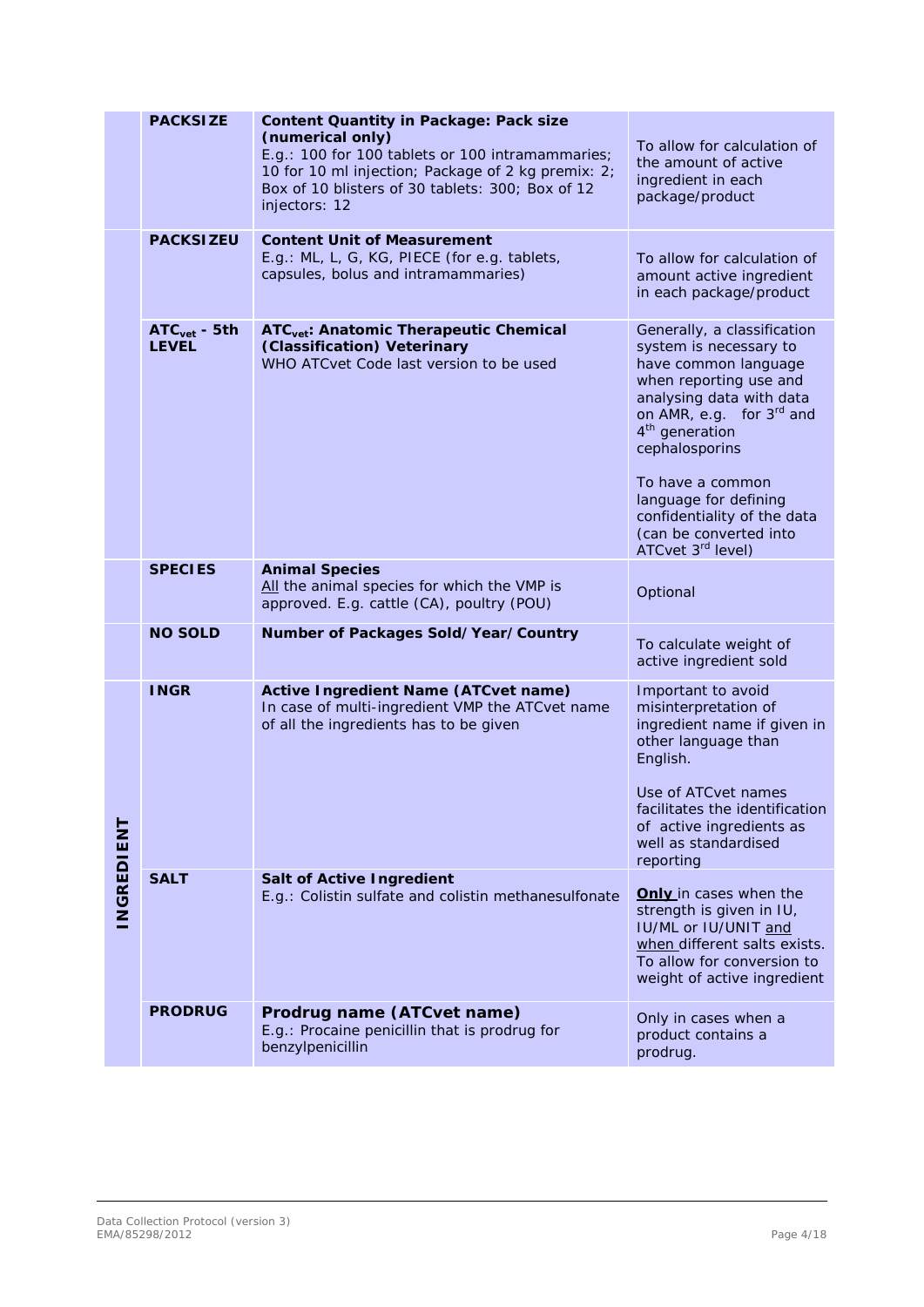|                  | <b>PACKSIZE</b>                | <b>Content Quantity in Package: Pack size</b><br>(numerical only)<br>E.g.: 100 for 100 tablets or 100 intramammaries;<br>10 for 10 ml injection; Package of 2 kg premix: 2;<br>Box of 10 blisters of 30 tablets: 300; Box of 12<br>injectors: 12 | To allow for calculation of<br>the amount of active<br>ingredient in each<br>package/product                                                                                                                                                                                                                                                           |
|------------------|--------------------------------|--------------------------------------------------------------------------------------------------------------------------------------------------------------------------------------------------------------------------------------------------|--------------------------------------------------------------------------------------------------------------------------------------------------------------------------------------------------------------------------------------------------------------------------------------------------------------------------------------------------------|
|                  | <b>PACKSIZEU</b>               | <b>Content Unit of Measurement</b><br>E.g.: ML, L, G, KG, PIECE (for e.g. tablets,<br>capsules, bolus and intramammaries)                                                                                                                        | To allow for calculation of<br>amount active ingredient<br>in each package/product                                                                                                                                                                                                                                                                     |
|                  | $ATCvet - 5th$<br><b>LEVEL</b> | ATC <sub>vet</sub> : Anatomic Therapeutic Chemical<br>(Classification) Veterinary<br>WHO ATCvet Code last version to be used                                                                                                                     | Generally, a classification<br>system is necessary to<br>have common language<br>when reporting use and<br>analysing data with data<br>on AMR, e.g. for 3 <sup>rd</sup> and<br>4 <sup>th</sup> generation<br>cephalosporins<br>To have a common<br>language for defining<br>confidentiality of the data<br>(can be converted into<br>ATCvet 3rd level) |
|                  | <b>SPECIES</b>                 | <b>Animal Species</b><br>All the animal species for which the VMP is<br>approved. E.g. cattle (CA), poultry (POU)                                                                                                                                | Optional                                                                                                                                                                                                                                                                                                                                               |
|                  | <b>NO SOLD</b>                 | Number of Packages Sold/Year/Country                                                                                                                                                                                                             | To calculate weight of<br>active ingredient sold                                                                                                                                                                                                                                                                                                       |
|                  | <b>INGR</b>                    | <b>Active Ingredient Name (ATCvet name)</b><br>In case of multi-ingredient VMP the ATCvet name<br>of all the ingredients has to be given                                                                                                         | Important to avoid<br>misinterpretation of<br>ingredient name if given in<br>other language than<br>English.<br>Use of ATC vet names<br>facilitates the identification<br>of active ingredients as<br>well as standardised<br>reporting                                                                                                                |
| <b>NGREDIENT</b> | <b>SALT</b>                    | <b>Salt of Active Ingredient</b><br>E.g.: Colistin sulfate and colistin methanesulfonate                                                                                                                                                         | Only in cases when the<br>strength is given in IU,<br>IU/ML or IU/UNIT and<br>when different salts exists.<br>To allow for conversion to<br>weight of active ingredient                                                                                                                                                                                |
|                  | <b>PRODRUG</b>                 | Prodrug name (ATCvet name)<br>E.g.: Procaine penicillin that is prodrug for<br>benzylpenicillin                                                                                                                                                  | Only in cases when a<br>product contains a<br>prodrug.                                                                                                                                                                                                                                                                                                 |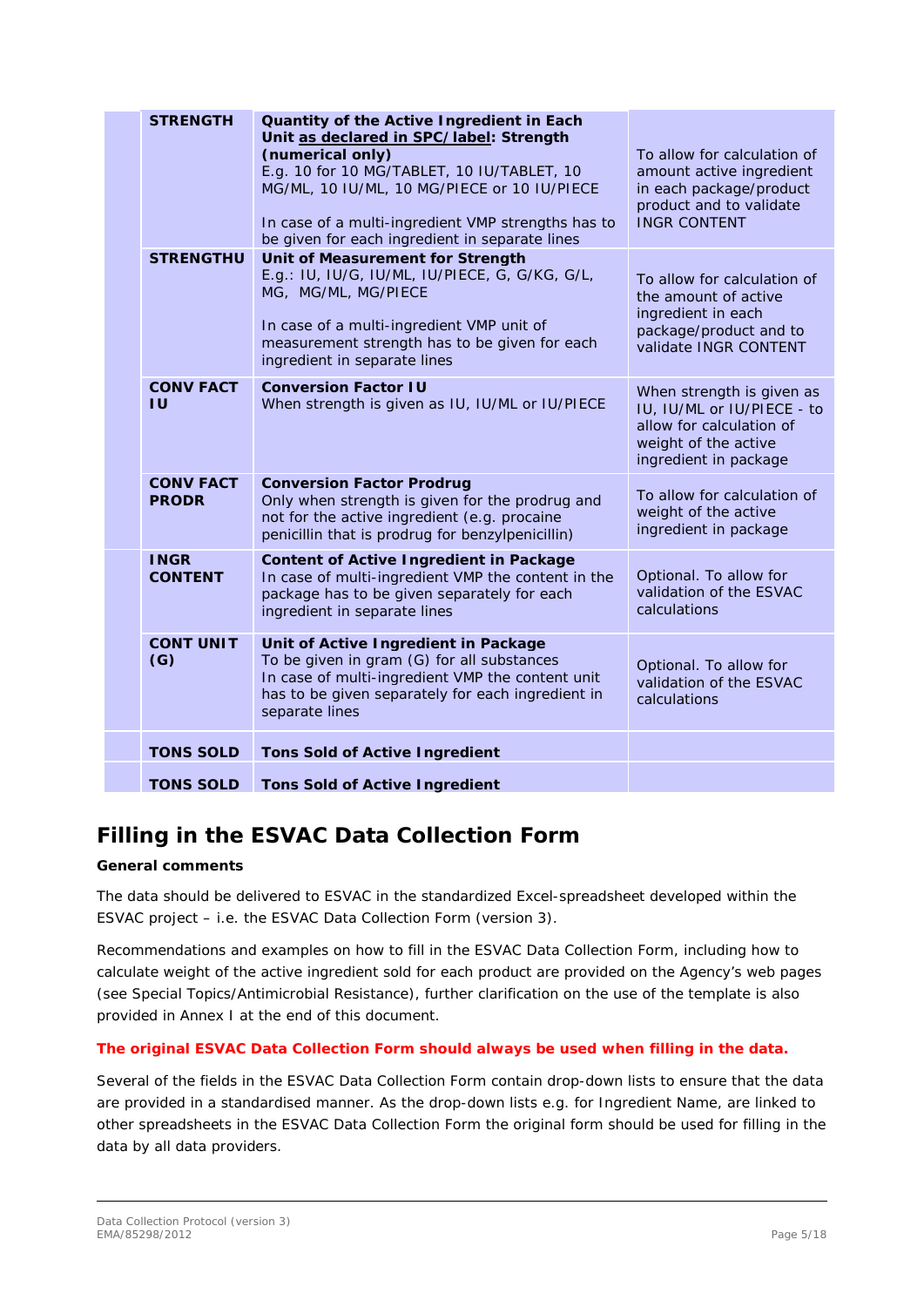| <b>STRENGTH</b>                  | Quantity of the Active Ingredient in Each<br>Unit as declared in SPC/label: Strength<br>(numerical only)<br>E.g. 10 for 10 MG/TABLET, 10 IU/TABLET, 10<br>MG/ML, 10 IU/ML, 10 MG/PIECE or 10 IU/PIECE<br>In case of a multi-ingredient VMP strengths has to<br>be given for each ingredient in separate lines | To allow for calculation of<br>amount active ingredient<br>in each package/product<br>product and to validate<br><b>INGR CONTENT</b> |
|----------------------------------|---------------------------------------------------------------------------------------------------------------------------------------------------------------------------------------------------------------------------------------------------------------------------------------------------------------|--------------------------------------------------------------------------------------------------------------------------------------|
| <b>STRENGTHU</b>                 | Unit of Measurement for Strength<br>E.g.: IU, IU/G, IU/ML, IU/PIECE, G, G/KG, G/L,<br>MG, MG/ML, MG/PIECE<br>In case of a multi-ingredient VMP unit of<br>measurement strength has to be given for each<br>ingredient in separate lines                                                                       | To allow for calculation of<br>the amount of active<br>ingredient in each<br>package/product and to<br>validate INGR CONTENT         |
| <b>CONV FACT</b><br>ΙU           | <b>Conversion Factor IU</b><br>When strength is given as IU, IU/ML or IU/PIECE                                                                                                                                                                                                                                | When strength is given as<br>IU, IU/ML or IU/PIECE - to<br>allow for calculation of<br>weight of the active<br>ingredient in package |
| <b>CONV FACT</b><br><b>PRODR</b> | <b>Conversion Factor Prodrug</b><br>Only when strength is given for the prodrug and<br>not for the active ingredient (e.g. procaine<br>penicillin that is prodrug for benzylpenicillin)                                                                                                                       | To allow for calculation of<br>weight of the active<br>ingredient in package                                                         |
| <b>INGR</b><br><b>CONTENT</b>    | <b>Content of Active Ingredient in Package</b><br>In case of multi-ingredient VMP the content in the<br>package has to be given separately for each<br>ingredient in separate lines                                                                                                                           | Optional. To allow for<br>validation of the ESVAC<br>calculations                                                                    |
| <b>CONT UNIT</b><br>(G)          | Unit of Active Ingredient in Package<br>To be given in gram (G) for all substances<br>In case of multi-ingredient VMP the content unit<br>has to be given separately for each ingredient in<br>separate lines                                                                                                 | Optional. To allow for<br>validation of the ESVAC<br>calculations                                                                    |
| <b>TONS SOLD</b>                 | <b>Tons Sold of Active Ingredient</b>                                                                                                                                                                                                                                                                         |                                                                                                                                      |
| <b>TONS SOLD</b>                 | <b>Tons Sold of Active Ingredient</b>                                                                                                                                                                                                                                                                         |                                                                                                                                      |

## **Filling in the ESVAC Data Collection Form**

### **General comments**

The data should be delivered to ESVAC in the standardized Excel-spreadsheet developed within the ESVAC project – i.e. the ESVAC Data Collection Form (version 3).

Recommendations and examples on how to fill in the ESVAC Data Collection Form, including how to calculate weight of the active ingredient sold for each product are provided on the Agency's web pages (see Special Topics/Antimicrobial Resistance), further clarification on the use of the template is also provided in Annex I at the end of this document.

### **The original ESVAC Data Collection Form should always be used when filling in the data.**

Several of the fields in the ESVAC Data Collection Form contain drop-down lists to ensure that the data are provided in a standardised manner. As the drop-down lists e.g. for Ingredient Name, are linked to other spreadsheets in the ESVAC Data Collection Form the original form should be used for filling in the data by all data providers.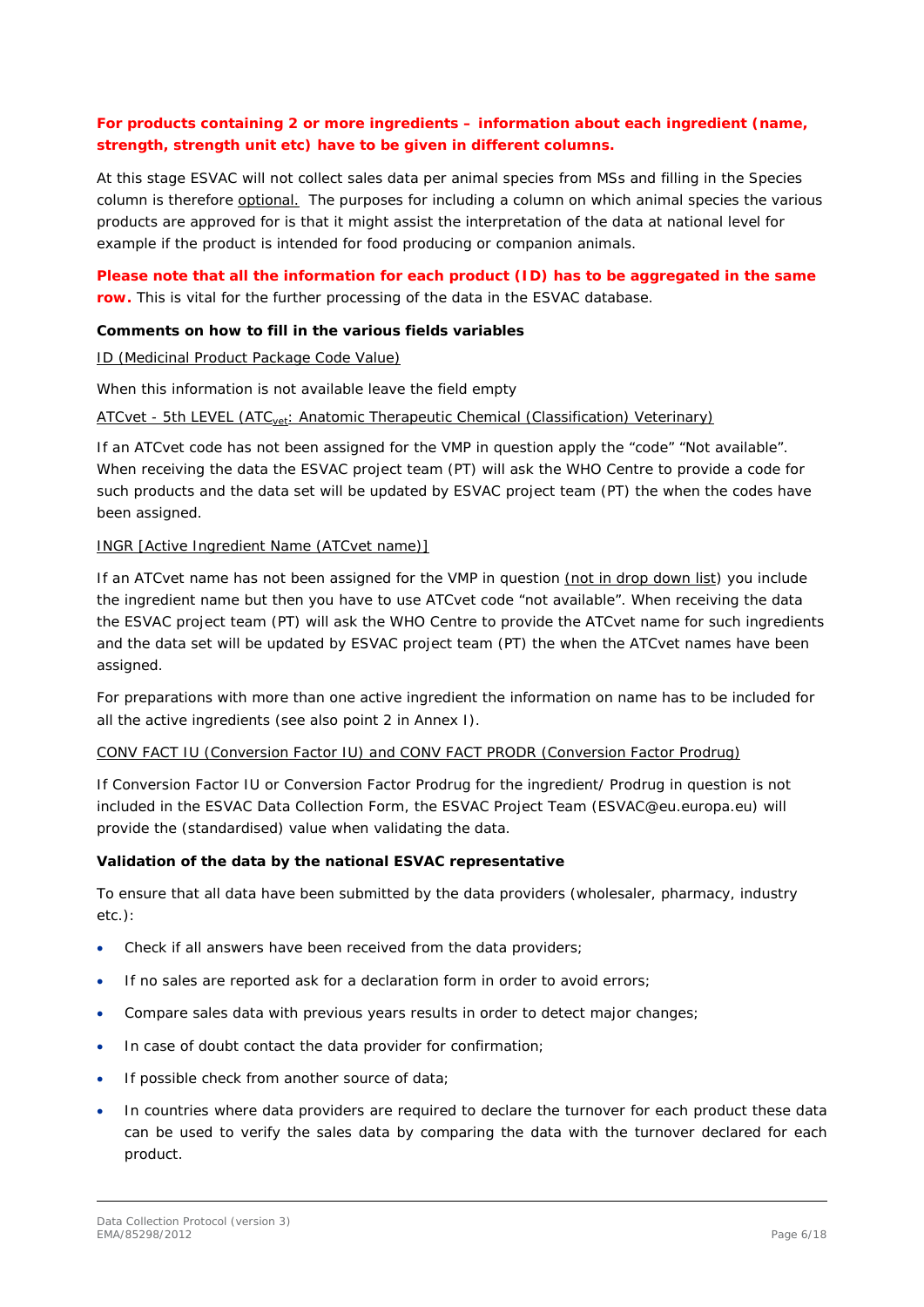### **For products containing 2 or more ingredients – information about each ingredient (name, strength, strength unit etc) have to be given in different columns.**

At this stage ESVAC will not collect sales data per animal species from MSs and filling in the Species column is therefore optional. The purposes for including a column on which animal species the various products are approved for is that it might assist the interpretation of the data at national level for example if the product is intended for food producing or companion animals.

### **Please note that all the information for each product (ID) has to be aggregated in the same row.** This is vital for the further processing of the data in the ESVAC database.

### **Comments on how to fill in the various fields variables**

### ID (Medicinal Product Package Code Value)

When this information is not available leave the field empty

### ATCvet - 5th LEVEL (ATC<sub>vet</sub>: Anatomic Therapeutic Chemical (Classification) Veterinary)

If an ATCvet code has not been assigned for the VMP in question apply the "code" "Not available". When receiving the data the ESVAC project team (PT) will ask the WHO Centre to provide a code for such products and the data set will be updated by ESVAC project team (PT) the when the codes have been assigned.

### INGR [Active Ingredient Name (ATCvet name)]

If an ATCvet name has not been assigned for the VMP in question (not in drop down list) you include the ingredient name but then you have to use ATCvet code "not available". When receiving the data the ESVAC project team (PT) will ask the WHO Centre to provide the ATCvet name for such ingredients and the data set will be updated by ESVAC project team (PT) the when the ATCvet names have been assigned.

For preparations with more than one active ingredient the information on name has to be included for all the active ingredients (see also point 2 in Annex I).

#### CONV FACT IU (Conversion Factor IU) and CONV FACT PRODR (Conversion Factor Prodrug)

If Conversion Factor IU or Conversion Factor Prodrug for the ingredient/ Prodrug in question is not included in the ESVAC Data Collection Form, the ESVAC Project Team [\(ESVAC@eu.europa.eu\)](mailto:ESVAC@eu.europa.eu) will provide the (standardised) value when validating the data.

#### **Validation of the data by the national ESVAC representative**

To ensure that all data have been submitted by the data providers (wholesaler, pharmacy, industry etc.):

- Check if all answers have been received from the data providers;
- If no sales are reported ask for a declaration form in order to avoid errors;
- Compare sales data with previous years results in order to detect major changes;
- In case of doubt contact the data provider for confirmation;
- If possible check from another source of data;
- In countries where data providers are required to declare the turnover for each product these data can be used to verify the sales data by comparing the data with the turnover declared for each product.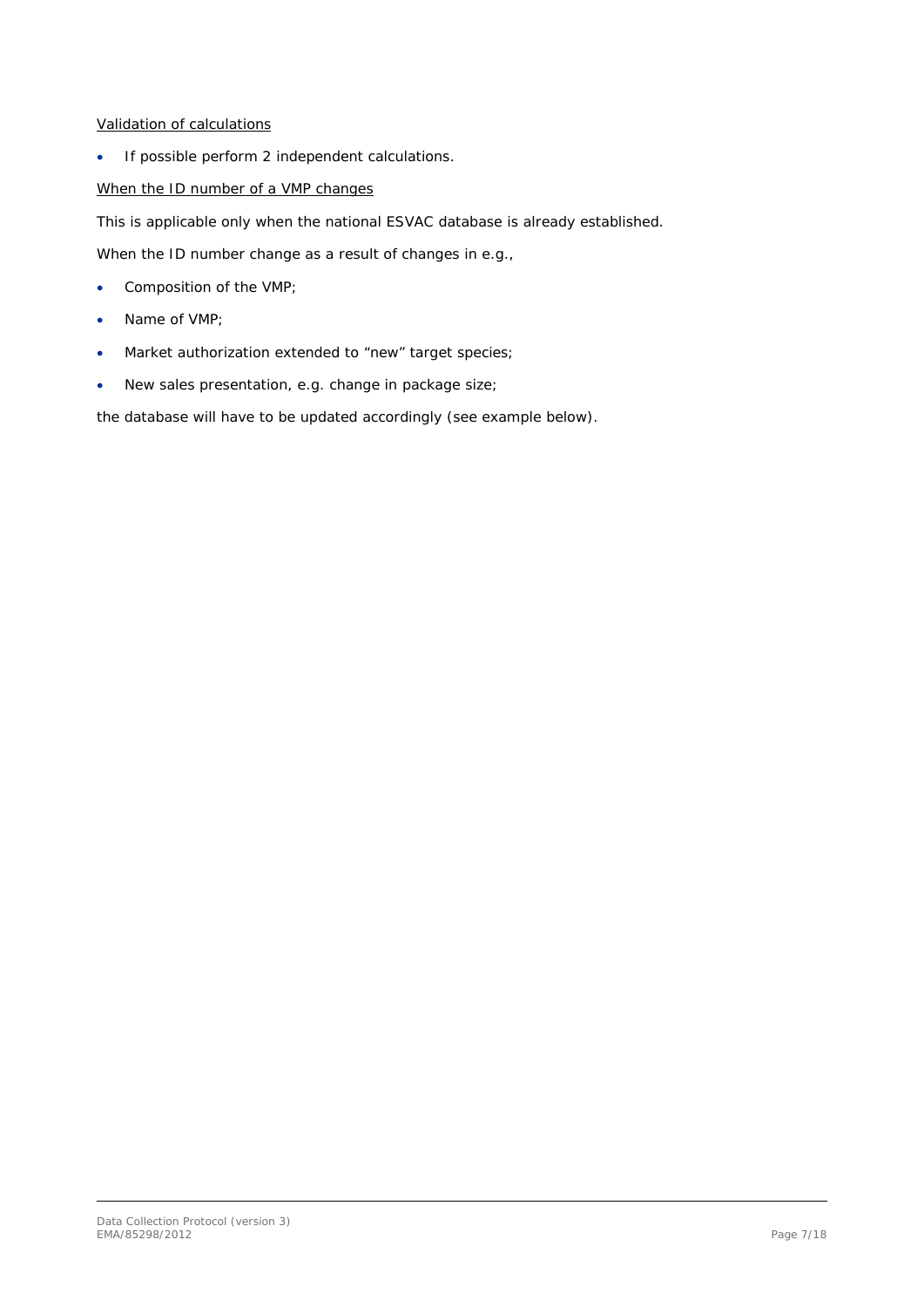### Validation of calculations

• If possible perform 2 independent calculations.

### When the ID number of a VMP changes

This is applicable only when the national ESVAC database is already established.

When the ID number change as a result of changes in e.g.,

- Composition of the VMP;
- Name of VMP;
- Market authorization extended to "new" target species;
- New sales presentation, e.g. change in package size;

the database will have to be updated accordingly (see example below).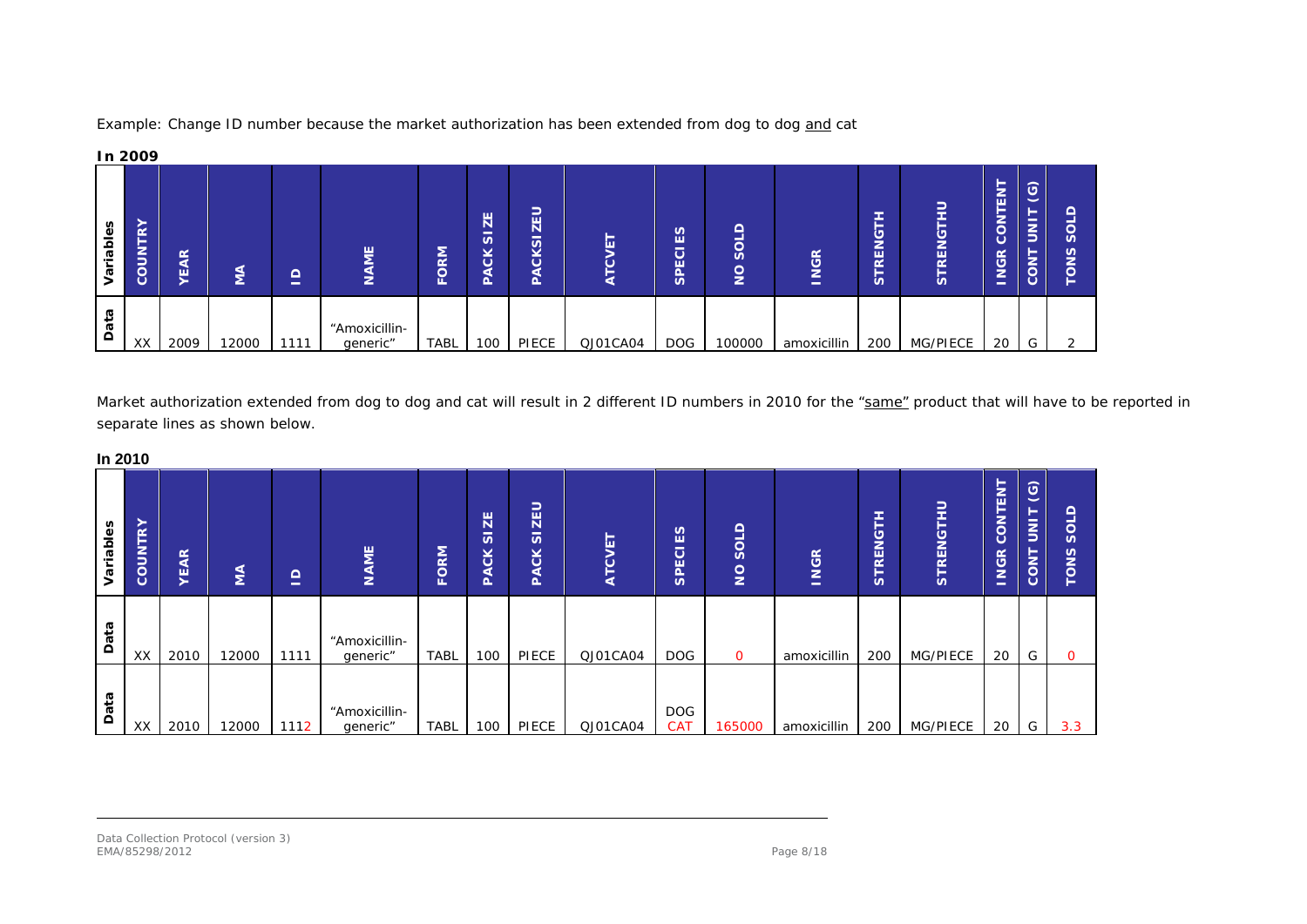

Example: Change ID number because the market authorization has been extended from dog to dog and cat

Market authorization extended from dog to dog and cat will result in 2 different ID numbers in 2010 for the "same" product that will have to be reported in separate lines as shown below.

**In 2010**

| 111 ZU I U |         |                                   |       |         |                           |             |                                                             |                                |                      |                          |                       |             |                                    |               |                            |                                                        |                                                                        |
|------------|---------|-----------------------------------|-------|---------|---------------------------|-------------|-------------------------------------------------------------|--------------------------------|----------------------|--------------------------|-----------------------|-------------|------------------------------------|---------------|----------------------------|--------------------------------------------------------|------------------------------------------------------------------------|
| ariables   | COUNTRY | $\frac{\alpha}{\alpha}$<br>ш<br>➤ | Ιă    | ۵,<br>- | <b>NAME</b>               | FORM        | ZE<br>$\overline{\phantom{a}}$<br>$\omega$<br>čK<br>⋖<br>Q. | ZEU<br>-<br>S<br>čK<br>⋖<br>Δ. | ⊢<br>ÿ<br><b>ATC</b> | ES<br><b>SPECI</b>       | SOLD<br>$\frac{1}{2}$ | <b>INGR</b> | ENGTH<br>$\mathbf{\tilde{F}}$<br>S | RENGTHU<br>'n | CONTENT<br><b>NGR</b><br>- | $ \mathfrak{S} $<br>⊢<br>$\overline{5}$<br><b>CONT</b> | $\Omega$<br>-<br>$\circ$<br>$\boldsymbol{\omega}$<br>n<br>z<br>$\circ$ |
| Data       | XX      | 2010                              | 12000 | 1111    | "Amoxicillin-<br>generic" | <b>TABL</b> | 100                                                         | PIECE                          | QJ01CA04             | <b>DOG</b>               | $\Omega$              | amoxicillin | 200                                | MG/PIECE      | 20                         | G                                                      | $\mathbf{O}$                                                           |
| Data       | XX      | 2010                              | 12000 | 1112    | "Amoxicillin-<br>generic" | <b>TABL</b> | 100                                                         | PIECE                          | QJ01CA04             | <b>DOG</b><br><b>CAT</b> | 165000                | amoxicillin | 200                                | MG/PIECE      | 20                         | G                                                      | 3.3                                                                    |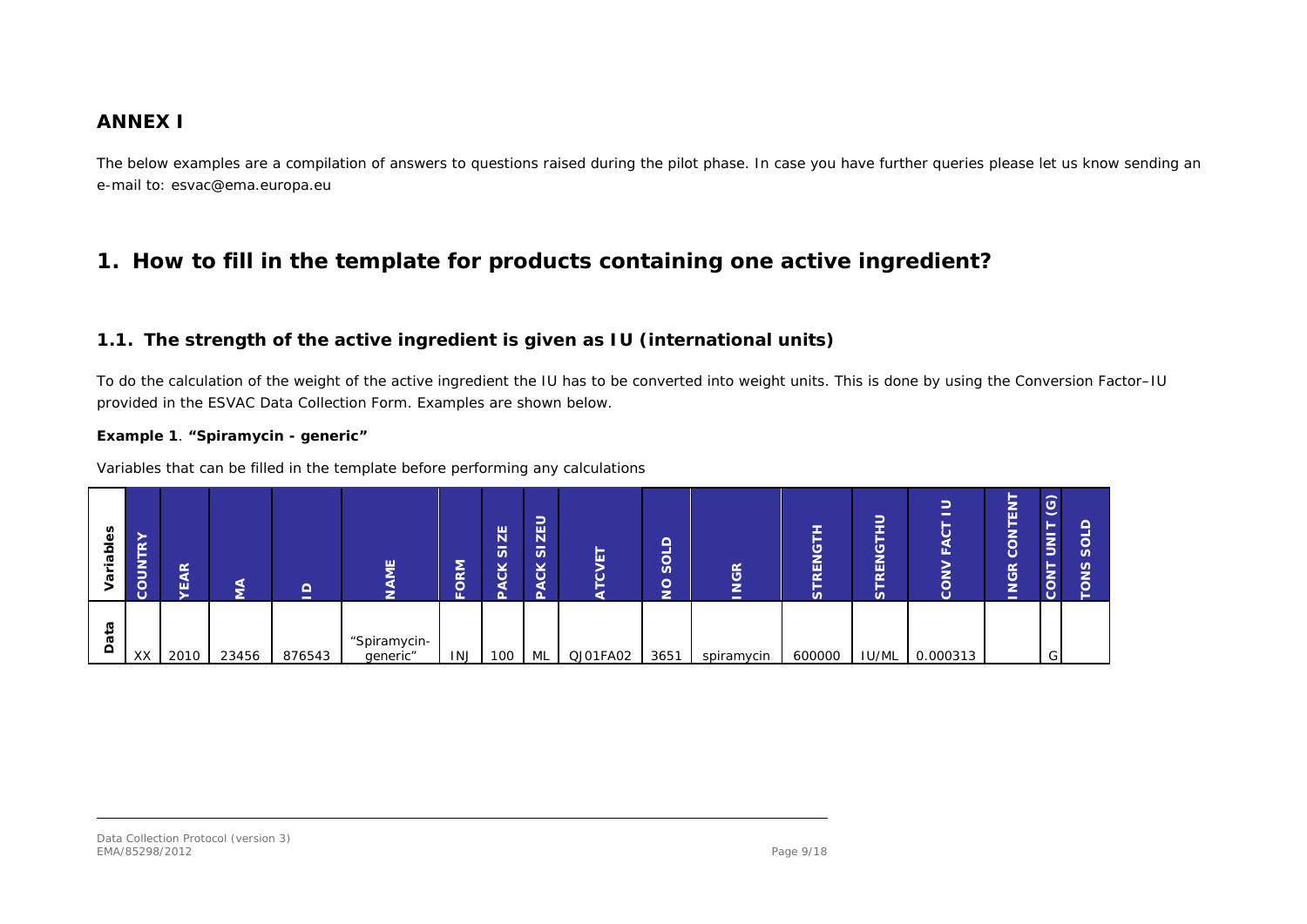### **ANNEX I**

The below examples are a compilation of answers to questions raised during the pilot phase. In case you have further queries please let us know sending an e-mail to: esvac@ema.europa.eu

## **1. How to fill in the template for products containing one active ingredient?**

### *1.1. The strength of the active ingredient is given as IU (international units)*

To do the calculation of the weight of the active ingredient the IU has to be converted into weight units. This is done by using the Conversion Factor–IU provided in the ESVAC Data Collection Form. Examples are shown below.

#### **Example 1**. **"Spiramycin - generic"**

Variables that can be filled in the template before performing any calculations

| n<br>Φ<br>ᢛ<br>G   | -<br>$\alpha$<br>-<br>⇒<br><b>Juco</b><br>ပ | Æ<br>ш |       | ≏<br>- | 빝<br>z                   | <b>NS</b><br>$\overline{\phantom{0}}$<br>ш | ZE<br>$\overline{\omega}$<br>čK<br>а<br>O, | –<br>$\overline{\mathbf{z}}$<br>$\overline{v}$<br>čK | ⊢<br>ш   | $\Omega$<br>ios<br>$\frac{1}{2}$ | ≃<br>ဖ<br>–<br>-<br>- | ш<br>n | -<br>$\sim$<br>--<br>═<br>ပ<br>-<br>REN<br>-<br>$\boldsymbol{\omega}$ | ш<br>۰.<br>$\circ$ | _<br>-<br>靣<br>-<br>-<br>ပ<br><b>JGR</b><br>-<br>- | $\odot$<br>►<br>$\overline{5}$<br>►<br><b>CON</b> |  |
|--------------------|---------------------------------------------|--------|-------|--------|--------------------------|--------------------------------------------|--------------------------------------------|------------------------------------------------------|----------|----------------------------------|-----------------------|--------|-----------------------------------------------------------------------|--------------------|----------------------------------------------------|---------------------------------------------------|--|
| ᢐ<br>ä<br>$\Omega$ | XX                                          | 2010   | 23456 | 876543 | "Spiramycin-<br>generic" | <b>INJ</b>                                 | 100                                        | ML                                                   | QJ01FA02 | 3651                             | spiramycin            | 600000 | IU/ML                                                                 | 0.000313           |                                                    | G                                                 |  |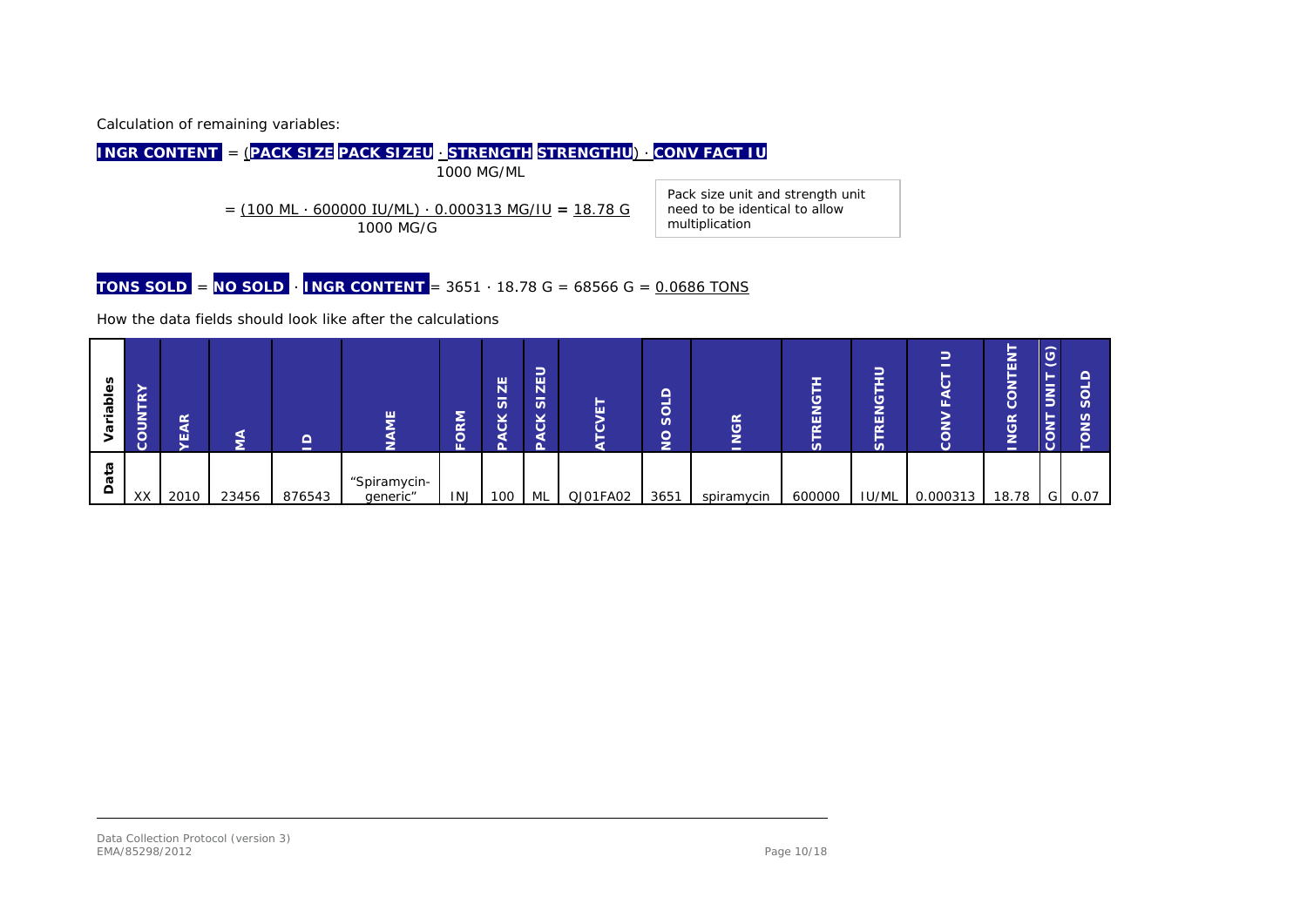Calculation of remaining variables:

**INGR CONTENT** = (**PACK SIZE PACK SIZEU** ∙ **STRENGTH STRENGTHU**) ∙ **CONV FACT IU** 1000 MG/ML = (100 ML ∙ 600000 IU/ML) ∙ 0.000313 MG/IU **=** 18.78 G 1000 MG/G Pack size unit and strength unit need to be identical to allow multiplication

**TONS SOLD** = **NO SOLD** ∙ **INGR CONTENT** = 3651 ∙ 18.78 G = 68566 G = 0.0686 TONS

How the data fields should look like after the calculations

| δĝ<br>-<br>аb | ➤<br>$\alpha$<br>-<br>⇁<br>-<br>-<br>-<br>$\overline{a}$ | $\alpha$<br>ш |       | -      | ш                        | $\mathsf{M}$<br>ш | 出<br>-<br>S.<br>×,<br>$\overline{\mathbf{c}}$ | -<br>-<br>$\overline{\mathbf{z}}$<br>$\overline{\phantom{0}}$<br>S<br>¥<br>ပ | −<br>ш   | $\sim$<br>_<br>≍<br>୪<br>$\sqrt{2}$<br>ă | œ<br>-<br>- | ш<br>N<br>n | ∍<br>═<br>-<br>--<br>-<br>ۊۣ<br>REN<br>-<br>n | ∍<br>-<br>-<br>ш,<br>$\circ$ | -<br>ш<br>$\circ$<br>$\frac{\alpha}{\sigma}$<br>-<br>-<br>- | $\odot$<br>≷<br>× | S<br>౸ |
|---------------|----------------------------------------------------------|---------------|-------|--------|--------------------------|-------------------|-----------------------------------------------|------------------------------------------------------------------------------|----------|------------------------------------------|-------------|-------------|-----------------------------------------------|------------------------------|-------------------------------------------------------------|-------------------|--------|
| ≏             | XX                                                       | 2010          | 23456 | 876543 | "Spiramycin-<br>generic" | <b>INJ</b>        | 100                                           | ML                                                                           | QJ01FA02 | 3651                                     | spiramycin  | 600000      | <b>IU/ML</b>                                  | 0.000313                     | 18.78                                                       | GI                | 0.07   |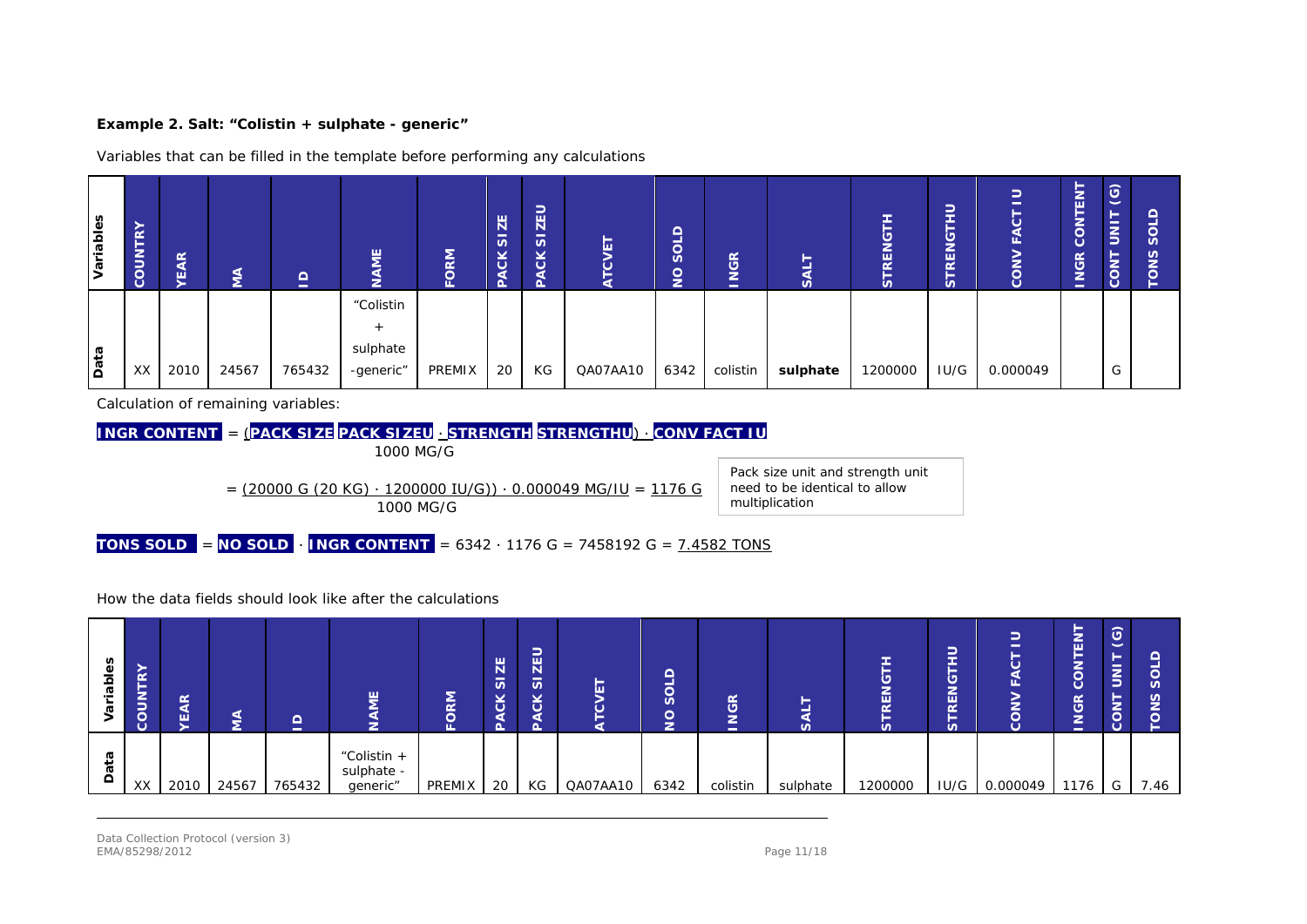#### **Example 2. Salt: "Colistin + sulphate - generic"**

Variables that can be filled in the template before performing any calculations

| Variables | $\alpha$<br>►<br>╺<br>$\frac{2}{2}$<br>ပိ | <b>YEAR</b> | ŠΚ    | $\Omega$<br>$\overline{\phantom{a}}$ | 쁮                                  | ORM    | ZE<br>$\overline{a}$<br><b>PACK</b> | -<br><b>ZEL</b><br>-<br>S<br><b>CK</b> | Ы        | SOLD<br>lSI | <b>NGR</b><br>- | S        | F<br><b>RENG</b><br>S | ט<br>-<br>-<br>ш<br>$\alpha$<br>n |          | ENT<br>►<br>۰,<br>ã<br><b>NGR</b><br>- | $\odot$<br>⊢<br>$\overline{S}$<br><b>CONT</b> | n<br>n |
|-----------|-------------------------------------------|-------------|-------|--------------------------------------|------------------------------------|--------|-------------------------------------|----------------------------------------|----------|-------------|-----------------|----------|-----------------------|-----------------------------------|----------|----------------------------------------|-----------------------------------------------|--------|
| Data      | XX I                                      | 2010        | 24567 | 765432                               | "Colistin<br>sulphate<br>-generic" | PREMIX | 20                                  | КG                                     | QA07AA10 | 6342        | colistin        | sulphate | 1200000               | IU/G                              | 0.000049 |                                        | G                                             |        |

Calculation of remaining variables:



= (20000 G (20 KG) ∙ 1200000 IU/G)) ∙ 0.000049 MG/IU = 1176 G 1000 MG/G

Pack size unit and strength unit need to be identical to allow multiplication

**TONS SOLD** = **NO SOLD** ∙ **INGR CONTENT** = 6342 ∙ 1176 G = 7458192 G = 7.4582 TONS

#### How the data fields should look like after the calculations

| ΘS<br>$\Omega$ | $\alpha$<br>-<br>⇒<br>≒<br>$\vec{o}$<br>ပ | EAR  | ⋖<br>-<br>2 | ≏<br>$\overline{\phantom{a}}$ | ш<br>–<br>▱                           | FORM          | ZE<br>$\overline{\mathfrak{G}}$<br><b>ACK</b> | -<br><b>ZEL</b><br>$\overline{v}$<br>čK<br>ď<br>o | ш        | ┍<br>−<br>≍<br>ŏ<br>╭<br>z | <b>NGR</b><br>$\sim$ | _<br>n   | REN<br>S | –<br>–<br>-<br>_<br>ш<br>$\alpha$<br>=<br>S. | $\circ$       | ►<br>룹<br>−<br>–<br>õ<br>ပ<br><b>NGR</b><br>- | $\odot$<br>$\overline{\mathsf{s}}$<br>-<br><b>CON</b> | ഗ    |
|----------------|-------------------------------------------|------|-------------|-------------------------------|---------------------------------------|---------------|-----------------------------------------------|---------------------------------------------------|----------|----------------------------|----------------------|----------|----------|----------------------------------------------|---------------|-----------------------------------------------|-------------------------------------------------------|------|
| $\Omega$       | XX                                        | 2010 | 24567       | 765432                        | "Colistin +<br>sulphate -<br>generic" | <b>PREMIX</b> | 20                                            | KG                                                | QA07AA10 | 6342                       | colistin             | sulphate | 1200000  |                                              | IU/G 0.000049 | 1176                                          | G                                                     | 7.46 |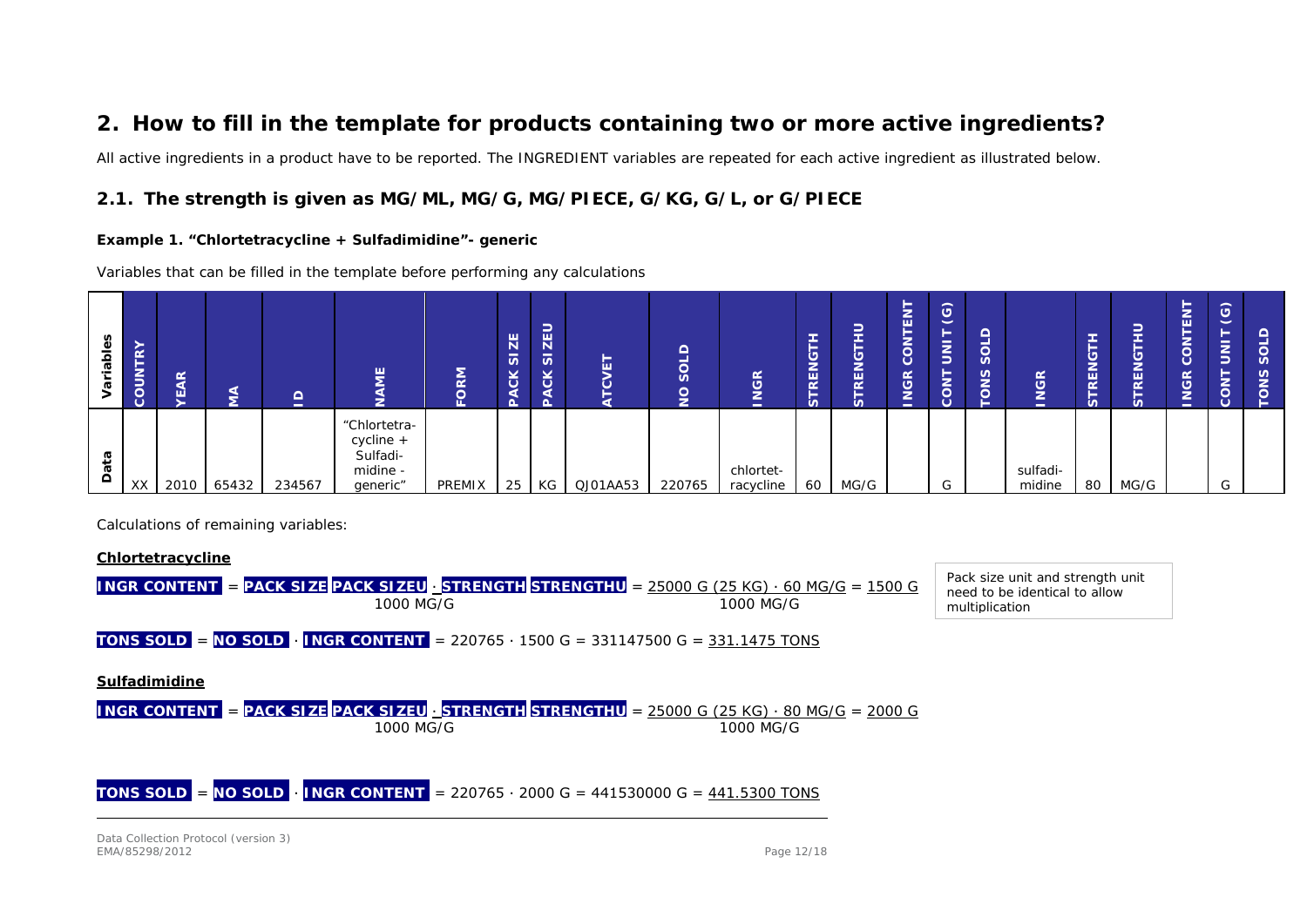## **2. How to fill in the template for products containing two or more active ingredients?**

All active ingredients in a product have to be reported. The INGREDIENT variables are repeated for each active ingredient as illustrated below.

### *2.1. The strength is given as MG/ML, MG/G, MG/PIECE, G/KG, G/L, or G/PIECE*

#### **Example 1. "Chlortetracycline + Sulfadimidine"- generic**

Variables that can be filled in the template before performing any calculations

| les<br>ء<br>Σ.<br>ā | COUNTRY | $\alpha$<br><b>A</b> | ⋍     | $\sqrt{ }$<br>- | ш<br>-                                                         | $\overline{\phantom{a}}$<br>효<br>$\overline{\phantom{a}}$ | ZE<br>$\overline{\mathfrak{G}}$<br>čK | ∍<br><b>ZEL</b><br>$\overline{v}$<br>čK | Ы<br>ం<br>⋍ | ≏<br>≍<br>S<br>≚<br>- | <b>NGR</b><br>-        | <b>RENG</b><br>⊨<br>S. | –<br>-<br>-<br>قا<br>REN<br>-<br>vΩ. | ∍<br>c<br>ш<br>–<br>$\overline{5}$<br><b>JGR</b><br>←<br>- | $\odot$<br>►<br>$\overline{5}$<br>-<br>NO <sub>2</sub> | $\sqrt{2}$<br>–<br>-<br>ა<br><u> (</u><br>-<br><u>_</u> | œ<br>$\circ$<br>-<br>-<br>— | -<br>-<br>-<br><b>RENG</b><br><b>In</b><br>$\omega$ | -<br>–<br>-<br>╾<br>_<br>قا<br><b>RED</b><br>-<br>n | 5<br>뜐<br>▭<br>ã<br><b>JGR</b><br>⋍<br>$\overline{\phantom{a}}$ | $\widehat{\phantom{a}}$<br>ಀ<br>-<br>-<br>-<br>Е<br>-<br>-<br>-<br>늣 | ŏ,<br>SINC |
|---------------------|---------|----------------------|-------|-----------------|----------------------------------------------------------------|-----------------------------------------------------------|---------------------------------------|-----------------------------------------|-------------|-----------------------|------------------------|------------------------|--------------------------------------|------------------------------------------------------------|--------------------------------------------------------|---------------------------------------------------------|-----------------------------|-----------------------------------------------------|-----------------------------------------------------|-----------------------------------------------------------------|----------------------------------------------------------------------|------------|
| ത<br>$\omega$<br>≏  | XX      | 2010                 | 65432 | 234567          | "Chlortetra-<br>$cyclic +$<br>Sulfadi-<br>midine -<br>generic" | PREMIX                                                    | 25                                    | KG                                      | QJ01AA53    | 220765                | chlortet-<br>racycline | 60                     | MG/G                                 |                                                            | $\sim$<br>G                                            |                                                         | sulfadi-<br>midine          | 80                                                  | MG/G                                                |                                                                 | $\sim$<br>G                                                          |            |

Calculations of remaining variables:

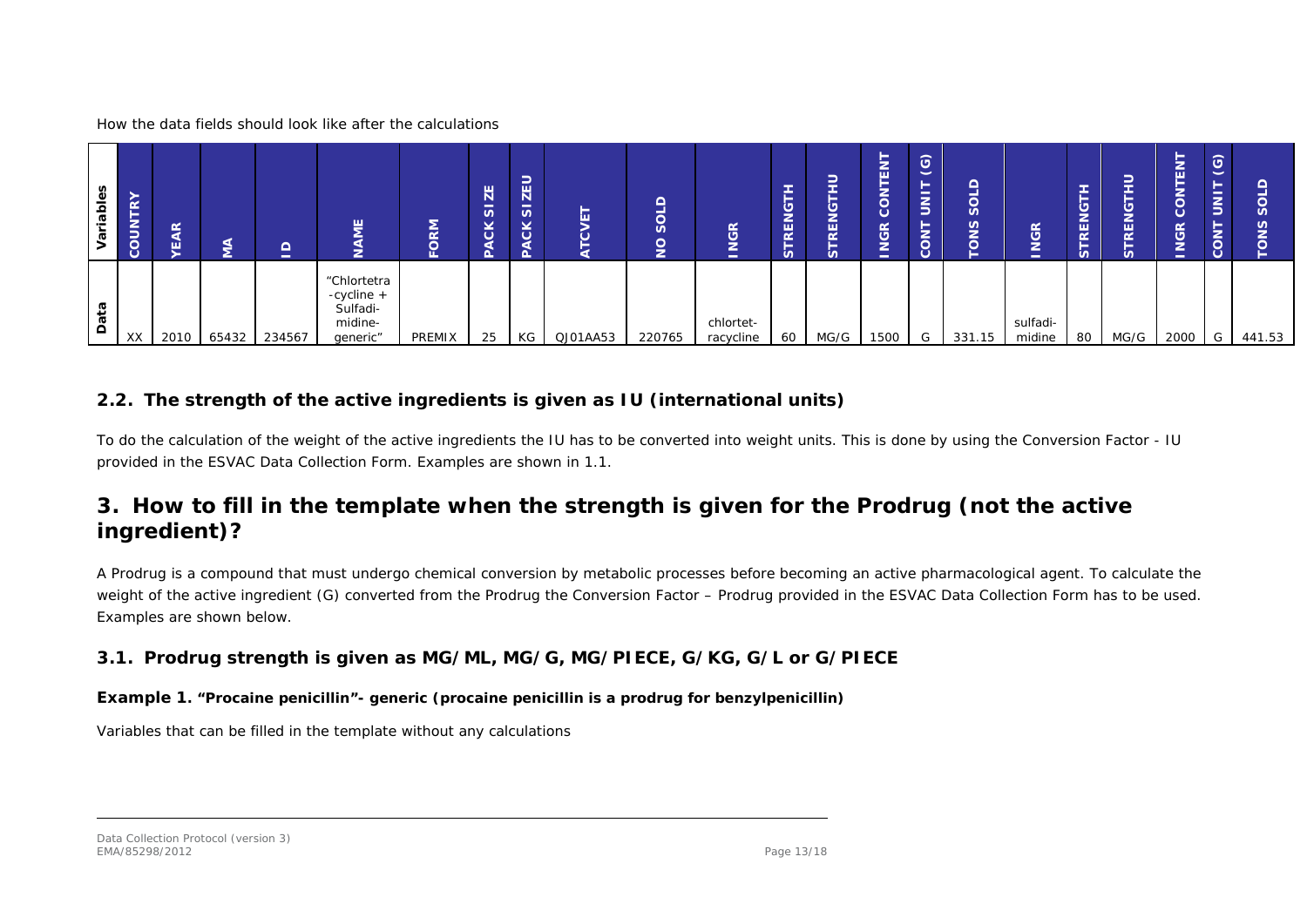How the data fields should look like after the calculations

| n<br>iabi | $\alpha$<br>⊢<br><b>COUNT</b> | $\frac{\alpha}{4}$<br>ш | e a   | $\Omega$<br>$\overline{\phantom{a}}$ | 핕                                                            | <b>NS</b> | $\Xi$<br>$\omega$<br>⊻<br>$\circ$ | -<br>$\overline{z}$<br>$\overline{5}$<br>$\overline{\phantom{a}}$<br>ĂCK | ш        | $\Omega$<br>SOL<br>$\frac{1}{2}$ | <b>INGR</b>            | ۊۣ<br>REN<br><b>in</b> | −<br><u>ي</u><br>REN<br>$\omega$ | -<br>╼<br>-<br>ш<br>–<br>ā<br><b>JGR</b><br>⋍<br>- | $\odot$<br>-<br>$\overline{5}$<br><b>CONT</b> | S<br>n<br>- | <b>GR</b><br>-<br>-<br>- | -<br>ۊۣ<br>REN<br>-<br><b>in</b> | -<br>⋍<br><u>ଓ</u><br>REN<br>u | ►<br>∍<br>-<br>ш<br><b>VGR</b><br>-<br>- | $\odot$<br>-<br><b>LNO2</b> | $\boldsymbol{\omega}$<br>m |
|-----------|-------------------------------|-------------------------|-------|--------------------------------------|--------------------------------------------------------------|-----------|-----------------------------------|--------------------------------------------------------------------------|----------|----------------------------------|------------------------|------------------------|----------------------------------|----------------------------------------------------|-----------------------------------------------|-------------|--------------------------|----------------------------------|--------------------------------|------------------------------------------|-----------------------------|----------------------------|
| ≏         | XX                            | 2010                    | 65432 | 234567                               | "Chlortetra<br>-cycline +<br>Sulfadi-<br>midine-<br>generic" | PREMIX    | 25                                | KG                                                                       | QJ01AA53 | 220765                           | chlortet-<br>racycline | 60                     | MG/G                             | 1500                                               | G                                             | 331.15      | sulfadi-<br>midine       | 80                               | MG/G                           | 2000                                     | G                           | 441.53                     |

### *2.2. The strength of the active ingredients is given as IU (international units)*

To do the calculation of the weight of the active ingredients the IU has to be converted into weight units. This is done by using the Conversion Factor - IU provided in the ESVAC Data Collection Form. Examples are shown in 1.1.

## **3. How to fill in the template when the strength is given for the Prodrug (not the active ingredient)?**

A Prodrug is a compound that must undergo chemical conversion by metabolic processes before becoming an active pharmacological agent. To calculate the weight of the active ingredient (G) converted from the Prodrug the Conversion Factor – Prodrug provided in the ESVAC Data Collection Form has to be used. Examples are shown below.

### *3.1. Prodrug strength is given as MG/ML, MG/G, MG/PIECE, G/KG, G/L or G/PIECE*

### **Example 1. "Procaine penicillin"- generic (procaine penicillin is a prodrug for benzylpenicillin)**

Variables that can be filled in the template without any calculations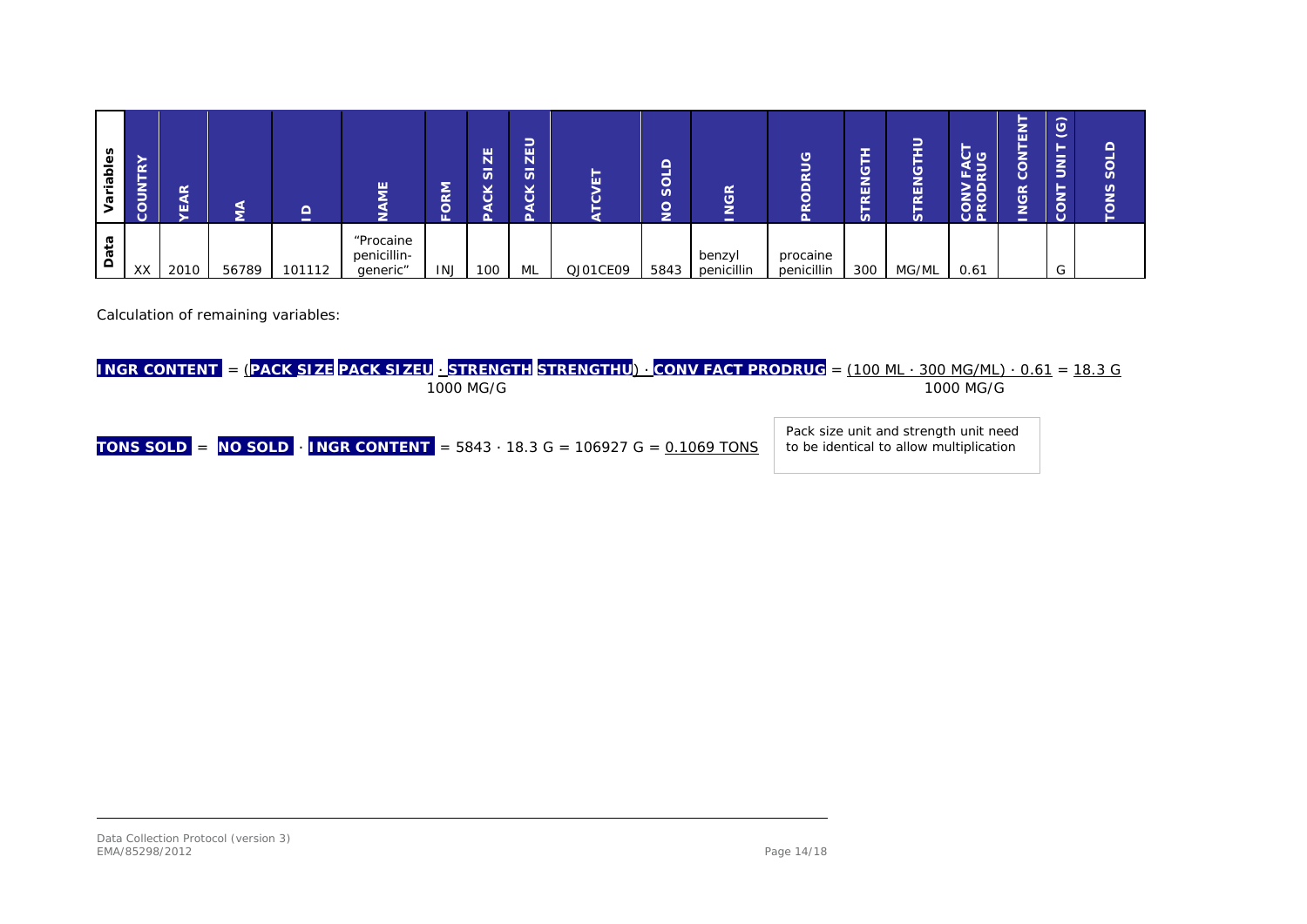| bles<br><u>e</u><br>Ø | $\approx$<br>-<br>COUN' | <b>AR</b><br>ш | Ξ     | ⌒<br>- | 끝<br>∍                               | -<br>๔<br>⌒ | $\mathbf{Z}^{\mathsf{E}}$<br>-<br>S<br>čK | ∽<br>-<br>ш<br>Ñ<br>-<br>S.<br>$\checkmark$<br>œ.<br>ပ | ш        | $\sim$<br>щ<br>≍<br><u>ပို</u><br>$\sqrt{2}$<br>ž | <b>GR</b><br>≏<br>-  | ত্<br>–<br>œ<br>$\overline{\mathsf{d}}$<br>$\alpha$ | --<br>ۊۣ<br>편<br>$\alpha$<br>-<br>n | ∽<br>-<br>-<br>--<br>_<br>ۊۣ<br>REN<br>_<br>n | _<br>ु ९<br>교<br>ட<br>$\Omega$<br>2<br><b>CON</b><br>PROI | -<br>۰.<br>됴<br>-<br>-<br>ఠ<br>ပ<br><b>VGR</b><br>⋍<br>$\sim$ | $\odot$<br>゠<br>⋚<br>NO. | ≏<br>sol<br><b>ONS</b><br>► |
|-----------------------|-------------------------|----------------|-------|--------|--------------------------------------|-------------|-------------------------------------------|--------------------------------------------------------|----------|---------------------------------------------------|----------------------|-----------------------------------------------------|-------------------------------------|-----------------------------------------------|-----------------------------------------------------------|---------------------------------------------------------------|--------------------------|-----------------------------|
| ᢐ<br>Dati             | XX                      | 2010           | 56789 | 101112 | "Procaine<br>penicillin-<br>generic" | <b>INJ</b>  | 100                                       | ML                                                     | QJ01CE09 | 5843                                              | benzyl<br>penicillin | procaine<br>penicillin                              | 300                                 | MG/ML                                         | 0.61                                                      |                                                               | $\sim$                   |                             |

Calculation of remaining variables:

| <b>INGR CONTENT</b> = (PACK SIZE PACK SIZEU STRENGTH STRENGTHU) $\cdot$ CONV FACT PRODRUG = (100 ML $\cdot$ 300 MG/ML) $\cdot$ 0.61 = 18.3 G<br>1000 MG/G | 1000 MG/G                                                                        |
|-----------------------------------------------------------------------------------------------------------------------------------------------------------|----------------------------------------------------------------------------------|
| <b>TONS SOLD</b> = $\overline{N}$ <b>O SOLD</b> $\cdot$ <b>INGR CONTENT</b> = 5843 $\cdot$ 18.3 G = 106927 G = 0.1069 TONS                                | Pack size unit and strength unit need<br>to be identical to allow multiplication |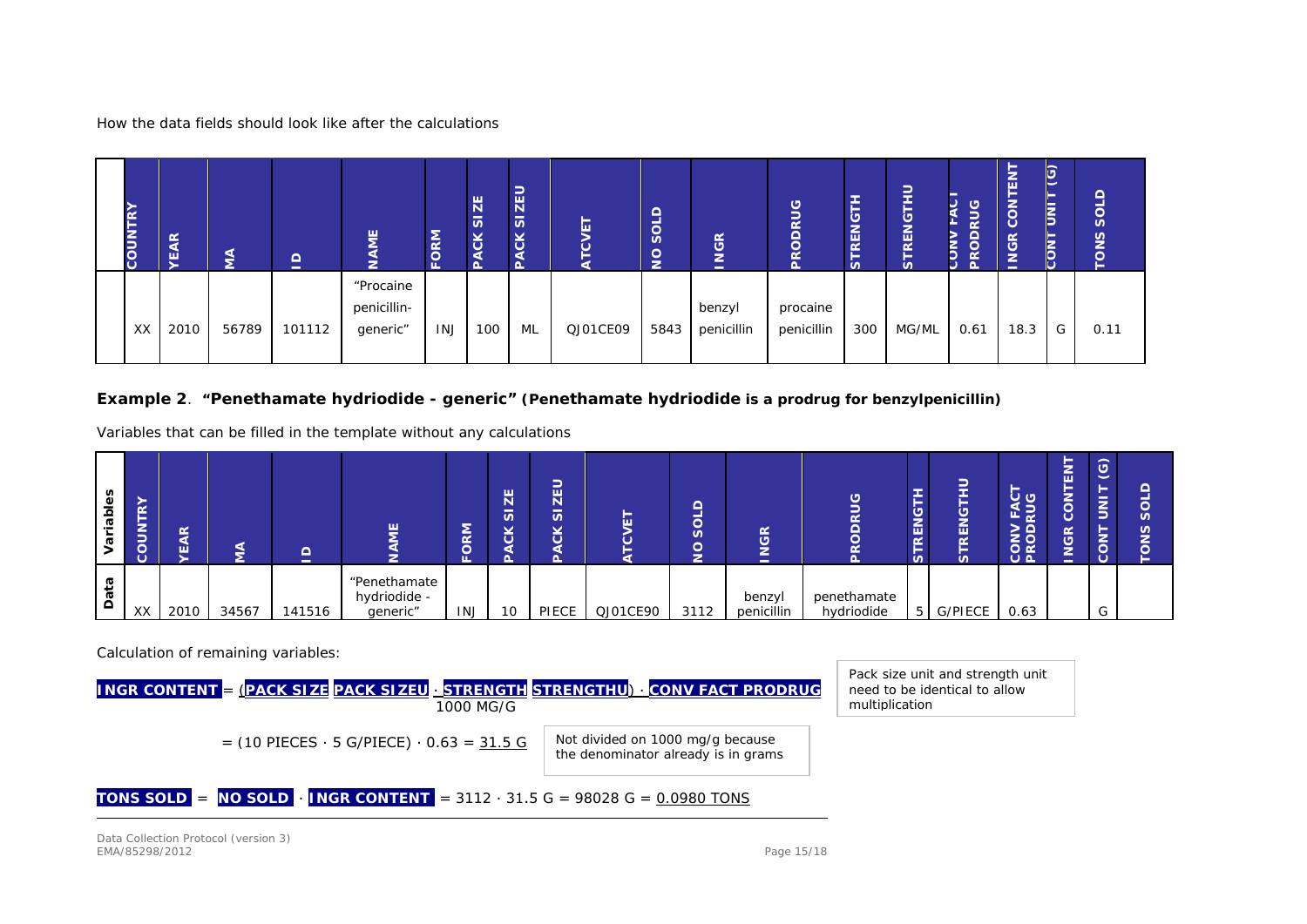How the data fields should look like after the calculations

| ≻<br>íκ<br>⊢<br><b>COUN</b> | $\frac{\alpha}{4}$<br>Ψ | इ     | $\mathbf{\underline{o}}$ | <b>NE</b><br>C)                      | <b>FORM</b> | ZE<br>-<br>S<br><b>PACK</b> | SIZEU<br><b>PACK</b> | -<br>ш   | $\Omega$<br>$\overline{\text{S}}$<br>$\frac{1}{2}$ | <b>INGR</b>          | <b>DRUG</b><br>PRC     | -<br>►<br><b>RENG</b><br>►<br><b>in</b> | ₽<br>÷<br>►<br><b>RENG</b><br>⊢<br><b>in</b> | <b>RUG</b><br>≍<br><b>PRODI</b><br>r<br>5<br>Ċ. | 훕<br><b>CON</b><br><b>INGR</b> | (ပ)<br>–<br>$\bar{\bar{\bar{z}}}$<br>-<br>$\bar{\tilde{\mathbf{z}}}$<br>5 | $\bar{v}$<br>$\frac{5}{2}$ |
|-----------------------------|-------------------------|-------|--------------------------|--------------------------------------|-------------|-----------------------------|----------------------|----------|----------------------------------------------------|----------------------|------------------------|-----------------------------------------|----------------------------------------------|-------------------------------------------------|--------------------------------|---------------------------------------------------------------------------|----------------------------|
| XX                          | 2010                    | 56789 | 101112                   | "Procaine<br>penicillin-<br>generic" | <b>INJ</b>  | 100                         | ML                   | QJ01CE09 | 5843                                               | benzyl<br>penicillin | procaine<br>penicillin | 300                                     | MG/ML                                        | 0.61                                            | 18.3                           | G                                                                         | 0.11                       |

### **Example 2**. **"Penethamate hydriodide - generic" (Penethamate hydriodide is a prodrug for benzylpenicillin)**

Variables that can be filled in the template without any calculations

| ables | 쥰<br>-<br>∍<br>⋍<br>$\overline{5}$<br>$\circ$ | $\alpha$<br>ш | ⋖     | $\Omega$<br>- | 핕                                        | ᅙ          | ZE<br>-<br>S | ∽<br>$\mathbb{H}$<br>-<br>n<br>$\checkmark$<br>∼<br>$\circ$ | _        | ≏<br>₹<br>უ<br>$\overline{Q}$ | GR<br>∍<br>-<br>-    | $\sqrt{2}$                | $\sum$<br>$\overline{\alpha}$<br>-<br>m. | Æ<br>ゞ<br>REN<br>n | ر ن<br>∶⊇<br>щ.<br>൧<br><b>CONV<br/>VAOD</b> | _<br>-<br>⋍<br>ш<br>-<br>$\epsilon$<br>$\mathbb{R}$<br>Ž<br>– | $\widehat{G}$<br>-<br>$\overline{\phantom{a}}$<br>-<br>E,<br>-<br>_<br>ξl<br>ں<br>ن | c<br>S.<br>ഴ്ച |
|-------|-----------------------------------------------|---------------|-------|---------------|------------------------------------------|------------|--------------|-------------------------------------------------------------|----------|-------------------------------|----------------------|---------------------------|------------------------------------------|--------------------|----------------------------------------------|---------------------------------------------------------------|-------------------------------------------------------------------------------------|----------------|
| ≏     | XX                                            | 2010          | 34567 | 141516        | "Penethamate<br>hydriodide -<br>generic" | <b>INJ</b> | 10           | PIECE                                                       | QJ01CE90 | 3112                          | benzyl<br>penicillin | penethamate<br>hydriodide |                                          | 5 G/PIECE          | 0.63                                         |                                                               | $\sim$<br>G                                                                         |                |

Calculation of remaining variables:

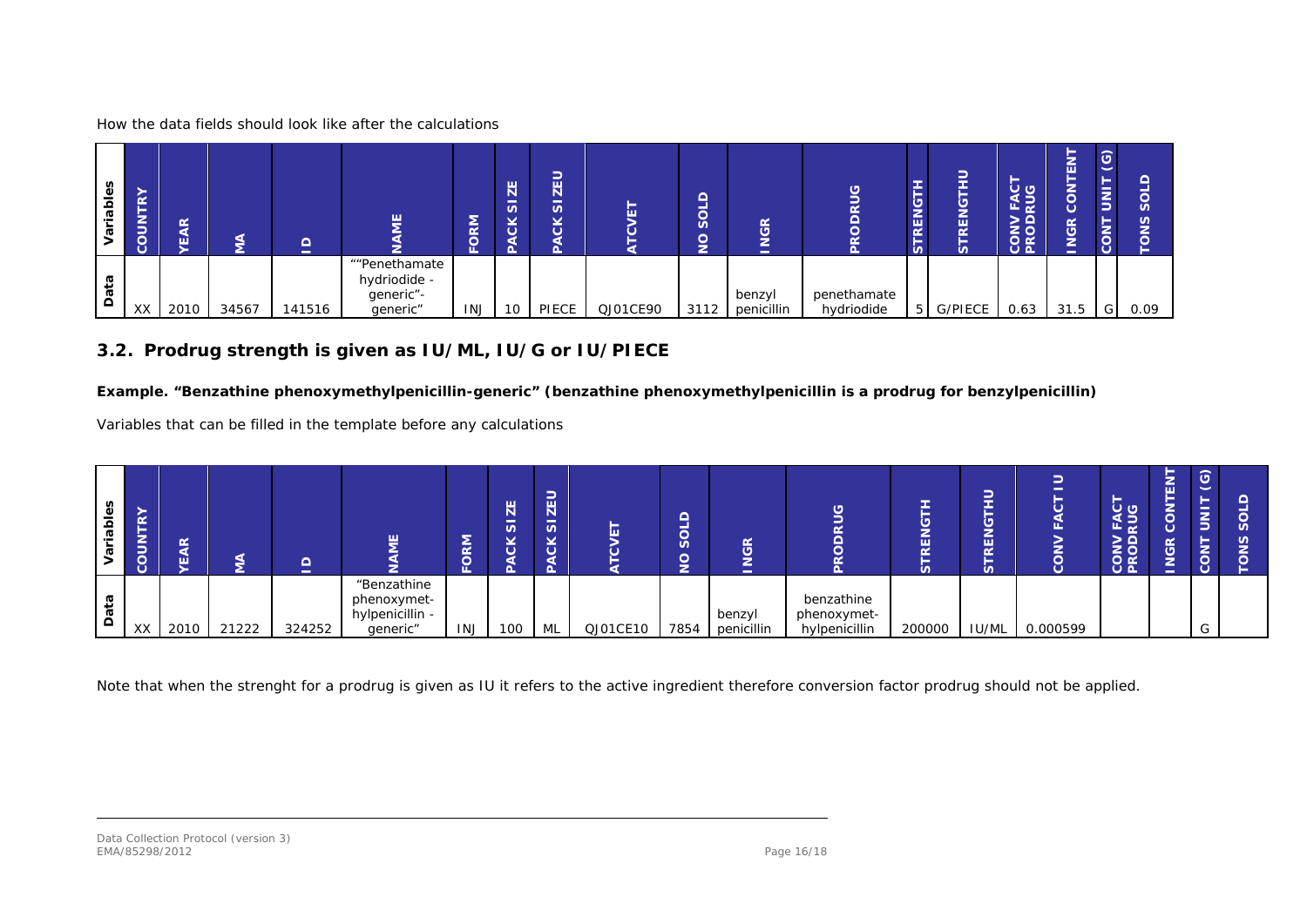How the data fields should look like after the calculations

| iables  | <b>Kd.</b><br>►<br>ξ<br>lg | $\alpha$<br>⋖<br>ш | ⋚     | $\Omega$<br>$\sim$ | ш                                                      | DRM<br>ш | ZE<br>-<br>S<br>is | ∍<br><b>ZEL</b><br>5<br>čK<br>Δ |          | $\Omega$<br>$\overline{\overline{S}}$<br>$\overline{9}$<br>- | <b>NGR</b><br>$\overline{\phantom{a}}$ | ODRUG<br>$\alpha$         | ⊢<br><b>RENG</b><br>⊢<br>in. | ∽<br><b>RENG</b><br><b>S</b> | –<br><b>25</b><br>$\overline{\phantom{a}}$<br>டங்<br><b>CONV</b><br>MOD | -<br>z<br>画<br>-<br>-<br>$\circ$<br><b>JGR</b><br>⋍<br>- | $\odot$<br>-<br>$\overline{z}$<br>CON' | n<br>n |
|---------|----------------------------|--------------------|-------|--------------------|--------------------------------------------------------|----------|--------------------|---------------------------------|----------|--------------------------------------------------------------|----------------------------------------|---------------------------|------------------------------|------------------------------|-------------------------------------------------------------------------|----------------------------------------------------------|----------------------------------------|--------|
| ra<br>å | XX                         | 2010               | 34567 | 141516             | ""Penethamate<br>hydriodide -<br>generic"-<br>generic" | INJ      | 10                 | PIECE                           | QJ01CE90 | 3112                                                         | benzyl<br>penicillin                   | penethamate<br>hydriodide | $5 \mid$                     | <b>G/PIECE</b>               | 0.63                                                                    | 31.5                                                     | G                                      | 0.09   |

### *3.2. Prodrug strength is given as IU/ML, IU/G or IU/PIECE*

### **Example. "Benzathine phenoxymethylpenicillin-generic" (benzathine phenoxymethylpenicillin is a prodrug for benzylpenicillin)**

Variables that can be filled in the template before any calculations

| -<br>ء   | œ<br>►<br>∍<br>e<br>≍ | $\alpha$<br>ш |       | ≏<br>- | ш                                                         | ᅙ          | ZE<br>$\overline{v}$ | ∍<br>-<br>$\overline{\mathbf{H}}$<br>$\overline{\mathfrak{G}}$<br>õ<br>$\Omega$ |          | ◚<br>н<br>≂<br><u>სე</u><br>◚<br>≚ | <b>NGR</b><br>$\overline{\phantom{a}}$ | ය                                          | $\alpha$<br>n | _<br>ш<br>$\alpha$ | -<br>щ.  | $\circ$ ၀<br>또군<br>><br><b>DS</b><br>$\circ$ $\circ$ | -<br>훕<br>$\overline{9}$<br>− | $\odot$<br>Ξ<br>e<br>-<br>-<br>ξl<br>ం |  |
|----------|-----------------------|---------------|-------|--------|-----------------------------------------------------------|------------|----------------------|---------------------------------------------------------------------------------|----------|------------------------------------|----------------------------------------|--------------------------------------------|---------------|--------------------|----------|------------------------------------------------------|-------------------------------|----------------------------------------|--|
| $\Omega$ | XX                    | 2010          | 21222 | 324252 | "Benzathine<br>phenoxymet-<br>hylpenicillin -<br>generic" | <b>INJ</b> | 100                  | ML                                                                              | QJ01CE10 | 7854                               | benzyl<br>penicillin                   | benzathine<br>phenoxymet-<br>hylpenicillin | 200000        | <b>IU/ML</b>       | 0.000599 |                                                      |                               | $\sim$<br>◡                            |  |

Note that when the strenght for a prodrug is given as IU it refers to the active ingredient therefore conversion factor prodrug should not be applied.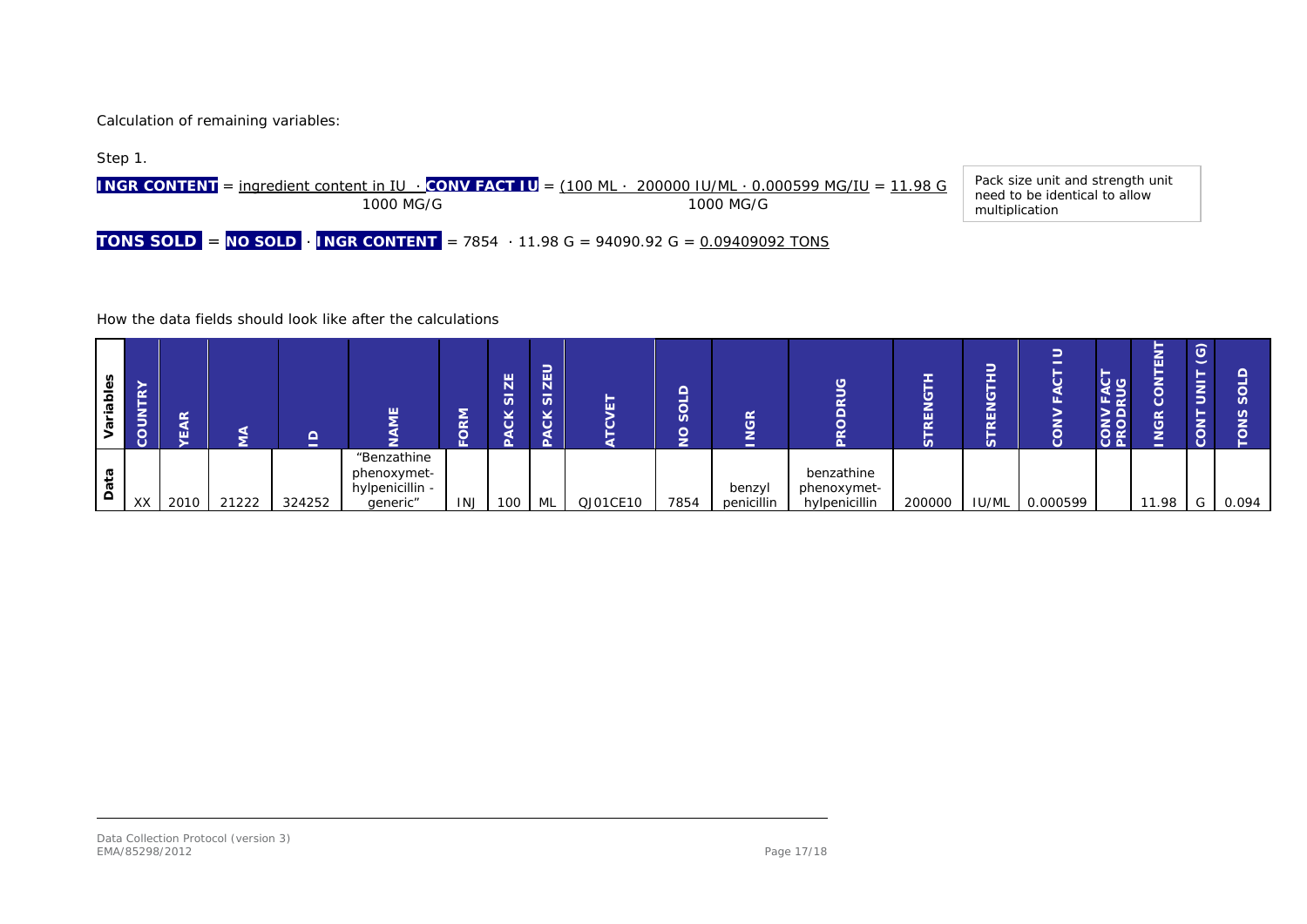Calculation of remaining variables:



How the data fields should look like after the calculations

| Φ<br>ᄒ<br>Ω.<br>ā | $\alpha$<br>-<br>⇁<br>_<br>-<br>ō<br>ပ | œ<br>ш |       | -<br>- |                                                           | $\overline{\sim}$ | $\overline{Z}$<br>$\overline{a}$<br>×<br>$\circ$<br>$\sqrt{2}$ | -<br>-<br>E <sub>E</sub><br>$\overline{v}$<br>$\checkmark$<br>$\tilde{\sigma}$ | -        | ⌒<br>—<br><b>S</b><br>- | <b>NGR</b><br>-      |                                            | -<br>ш<br>$\overline{\sim}$<br>ഗ | ш<br>$\overline{\sim}$<br>n. |          | 5 F.A<br>CONV<br>PROD | -<br>ш<br>-<br>œ<br>ত<br>- | $\odot$<br>-<br>$\overline{5}$<br>-<br><b>CON</b> | n     |
|-------------------|----------------------------------------|--------|-------|--------|-----------------------------------------------------------|-------------------|----------------------------------------------------------------|--------------------------------------------------------------------------------|----------|-------------------------|----------------------|--------------------------------------------|----------------------------------|------------------------------|----------|-----------------------|----------------------------|---------------------------------------------------|-------|
| ᢐ<br>$\vec{a}$    | XX                                     | 2010   | 21222 | 324252 | "Benzathine<br>phenoxymet-<br>hylpenicillin -<br>generic" | <b>INJ</b>        | 100                                                            | ML                                                                             | QJ01CE10 | 7854                    | benzyl<br>penicillin | benzathine<br>phenoxymet-<br>hylpenicillin | 200000                           | <b>IU/ML</b>                 | 0.000599 |                       | 11.98                      | G                                                 | 0.094 |